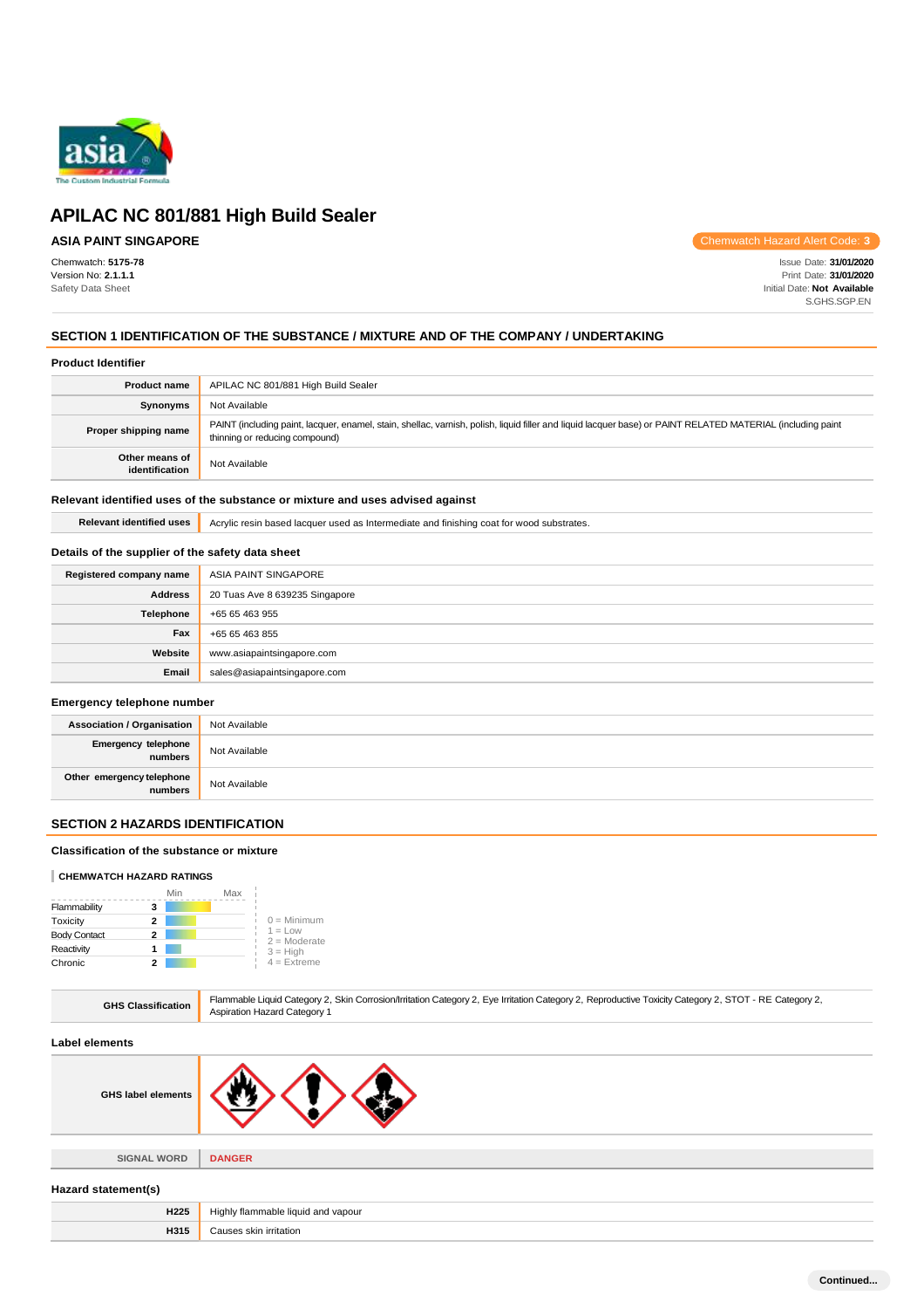

# **ASIA PAINT SINGAPORE**

Chemwatch: **5175-78** Version No: **2.1.1.1** Safety Data Sheet

Chemwatch Hazard Alert Code: **3**

Issue Date: **31/01/2020** Print Date: **31/01/2020** Initial Date: **Not Available** S.GHS.SGP.EN

# **SECTION 1 IDENTIFICATION OF THE SUBSTANCE / MIXTURE AND OF THE COMPANY / UNDERTAKING**

#### **Product Identifier**

| <b>Product name</b>              | APILAC NC 801/881 High Build Sealer                                                                                                                                                           |  |
|----------------------------------|-----------------------------------------------------------------------------------------------------------------------------------------------------------------------------------------------|--|
| Synonyms                         | Not Available                                                                                                                                                                                 |  |
| Proper shipping name             | PAINT (including paint, lacquer, enamel, stain, shellac, varnish, polish, liquid filler and liquid lacquer base) or PAINT RELATED MATERIAL (including paint<br>thinning or reducing compound) |  |
| Other means of<br>identification | Not Available                                                                                                                                                                                 |  |

### **Relevant identified uses of the substance or mixture and uses advised against**

Relevant identified uses **Acrylic resin based lacquer used as Intermediate and finishing coat for wood substrates.** 

### **Details of the supplier of the safety data sheet**

| Registered company name | ASIA PAINT SINGAPORE           |
|-------------------------|--------------------------------|
| <b>Address</b>          | 20 Tuas Ave 8 639235 Singapore |
| Telephone               | +65 65 463 955                 |
| Fax                     | +65 65 463 855                 |
| Website                 | www.asiapaintsingapore.com     |
| Email                   | sales@asiapaintsingapore.com   |

### **Emergency telephone number**

| <b>Association / Organisation</b>    | Not Available |
|--------------------------------------|---------------|
| Emergency telephone<br>numbers       | Not Available |
| Other emergency telephone<br>numbers | Not Available |

### **SECTION 2 HAZARDS IDENTIFICATION**

### **Classification of the substance or mixture**

### **CHEMWATCH HAZARD RATINGS**

|                     |   | Min | Max |                             |
|---------------------|---|-----|-----|-----------------------------|
| Flammability        | з |     |     |                             |
| Toxicity            | 2 |     |     | $0 =$ Minimum               |
| <b>Body Contact</b> | 2 |     |     | $1 = Low$<br>$2 =$ Moderate |
| Reactivity          |   |     |     | $3 = High$                  |
| Chronic             |   |     |     | $4$ = Extreme               |

|  | <b>GHS Classification</b> | Flammable Liquid Category 2, Skin Corrosion/Irritation Category 2, Eye Irritation Category 2, Reproductive Toxicity Category 2, STOT - RE Category 2,<br><b>Aspiration Hazard Category 1</b> |
|--|---------------------------|----------------------------------------------------------------------------------------------------------------------------------------------------------------------------------------------|
|--|---------------------------|----------------------------------------------------------------------------------------------------------------------------------------------------------------------------------------------|

#### **Label elements**

**SIGNAL WORD DANGER**

#### **Hazard statement(s)**

| H <sub>225</sub> | y flammable liquid and vapour.<br>Hiahl∖<br>$\sim$ $\sim$ |
|------------------|-----------------------------------------------------------|
| H315             | Causes skin irritation                                    |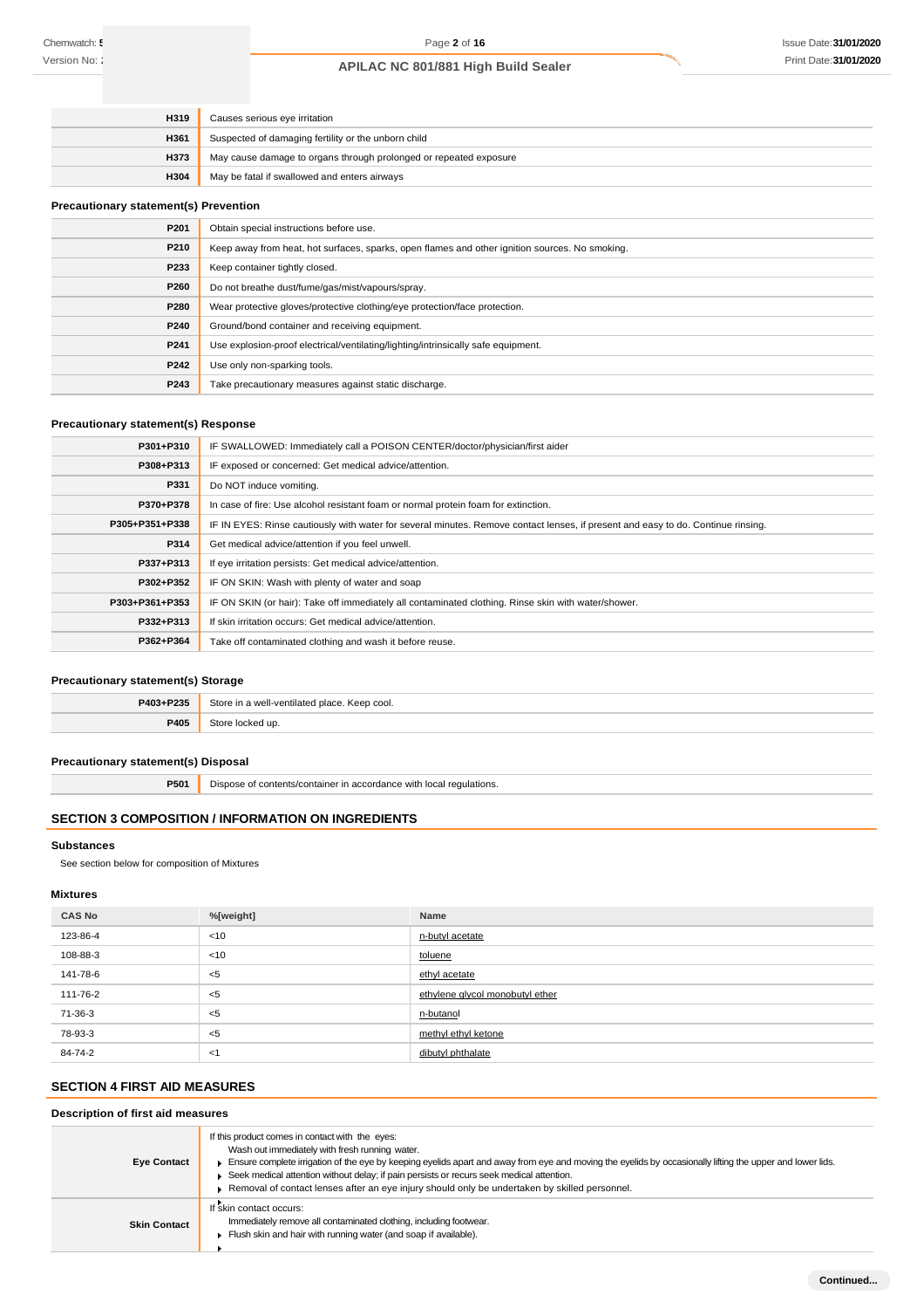| H319        | Causes serious eye irritation                                     |  |
|-------------|-------------------------------------------------------------------|--|
| H361        | Suspected of damaging fertility or the unborn child               |  |
| <b>H373</b> | May cause damage to organs through prolonged or repeated exposure |  |
| <b>H304</b> | May be fatal if swallowed and enters airways                      |  |

### **Precautionary statement(s) Prevention**

| P201 | Obtain special instructions before use.                                                        |
|------|------------------------------------------------------------------------------------------------|
| P210 | Keep away from heat, hot surfaces, sparks, open flames and other ignition sources. No smoking. |
| P233 | Keep container tightly closed.                                                                 |
| P260 | Do not breathe dust/fume/gas/mist/vapours/spray.                                               |
| P280 | Wear protective gloves/protective clothing/eye protection/face protection.                     |
| P240 | Ground/bond container and receiving equipment.                                                 |
| P241 | Use explosion-proof electrical/ventilating/lighting/intrinsically safe equipment.              |
| P242 | Use only non-sparking tools.                                                                   |
| P243 | Take precautionary measures against static discharge.                                          |

# **Precautionary statement(s) Response**

| P301+P310      | IF SWALLOWED: Immediately call a POISON CENTER/doctor/physician/first aider                                                      |  |  |
|----------------|----------------------------------------------------------------------------------------------------------------------------------|--|--|
| P308+P313      | IF exposed or concerned: Get medical advice/attention.                                                                           |  |  |
| P331           | Do NOT induce vomiting.                                                                                                          |  |  |
| P370+P378      | In case of fire: Use alcohol resistant foam or normal protein foam for extinction.                                               |  |  |
| P305+P351+P338 | IF IN EYES: Rinse cautiously with water for several minutes. Remove contact lenses, if present and easy to do. Continue rinsing. |  |  |
| P314           | Get medical advice/attention if you feel unwell.                                                                                 |  |  |
| P337+P313      | If eye irritation persists: Get medical advice/attention.                                                                        |  |  |
| P302+P352      | IF ON SKIN: Wash with plenty of water and soap                                                                                   |  |  |
| P303+P361+P353 | IF ON SKIN (or hair): Take off immediately all contaminated clothing. Rinse skin with water/shower.                              |  |  |
| P332+P313      | If skin irritation occurs: Get medical advice/attention.                                                                         |  |  |
| P362+P364      | Take off contaminated clothing and wash it before reuse.                                                                         |  |  |

### **Precautionary statement(s) Storage**

| P403+P235 | Store<br><i>v</i> -ventilated place.<br>. Keep cool. |
|-----------|------------------------------------------------------|
| 9405      | 3t∩rc<br>≧locked up.                                 |

### **Precautionary statement(s) Disposal**

**P501** Dispose of contents/container in accordance with local regulations.

# **SECTION 3 COMPOSITION / INFORMATION ON INGREDIENTS**

#### **Substances**

See section below for composition of Mixtures

#### **Mixtures**

| <b>CAS No</b> | %[weight] | Name                            |
|---------------|-----------|---------------------------------|
| 123-86-4      | <10       | n-butyl acetate                 |
| 108-88-3      | <10       | toluene                         |
| 141-78-6      | $<$ 5     | ethyl acetate                   |
| 111-76-2      | $<$ 5     | ethylene glycol monobutyl ether |
| 71-36-3       | $<$ 5     | n-butanol                       |
| 78-93-3       | $<$ 5     | methyl ethyl ketone             |
| 84-74-2       | ≺1        | dibutyl phthalate               |

# **SECTION 4 FIRST AID MEASURES**

# **Description of first aid measures**

| <b>Eye Contact</b>  | If this product comes in contact with the eyes:<br>Wash out immediately with fresh running water.<br>Ensure complete irrigation of the eye by keeping eyelids apart and away from eye and moving the eyelids by occasionally lifting the upper and lower lids.<br>► Seek medical attention without delay; if pain persists or recurs seek medical attention.<br>Removal of contact lenses after an eye injury should only be undertaken by skilled personnel. |
|---------------------|---------------------------------------------------------------------------------------------------------------------------------------------------------------------------------------------------------------------------------------------------------------------------------------------------------------------------------------------------------------------------------------------------------------------------------------------------------------|
| <b>Skin Contact</b> | If skin contact occurs:<br>Immediately remove all contaminated clothing, including footwear.<br>Flush skin and hair with running water (and soap if available).                                                                                                                                                                                                                                                                                               |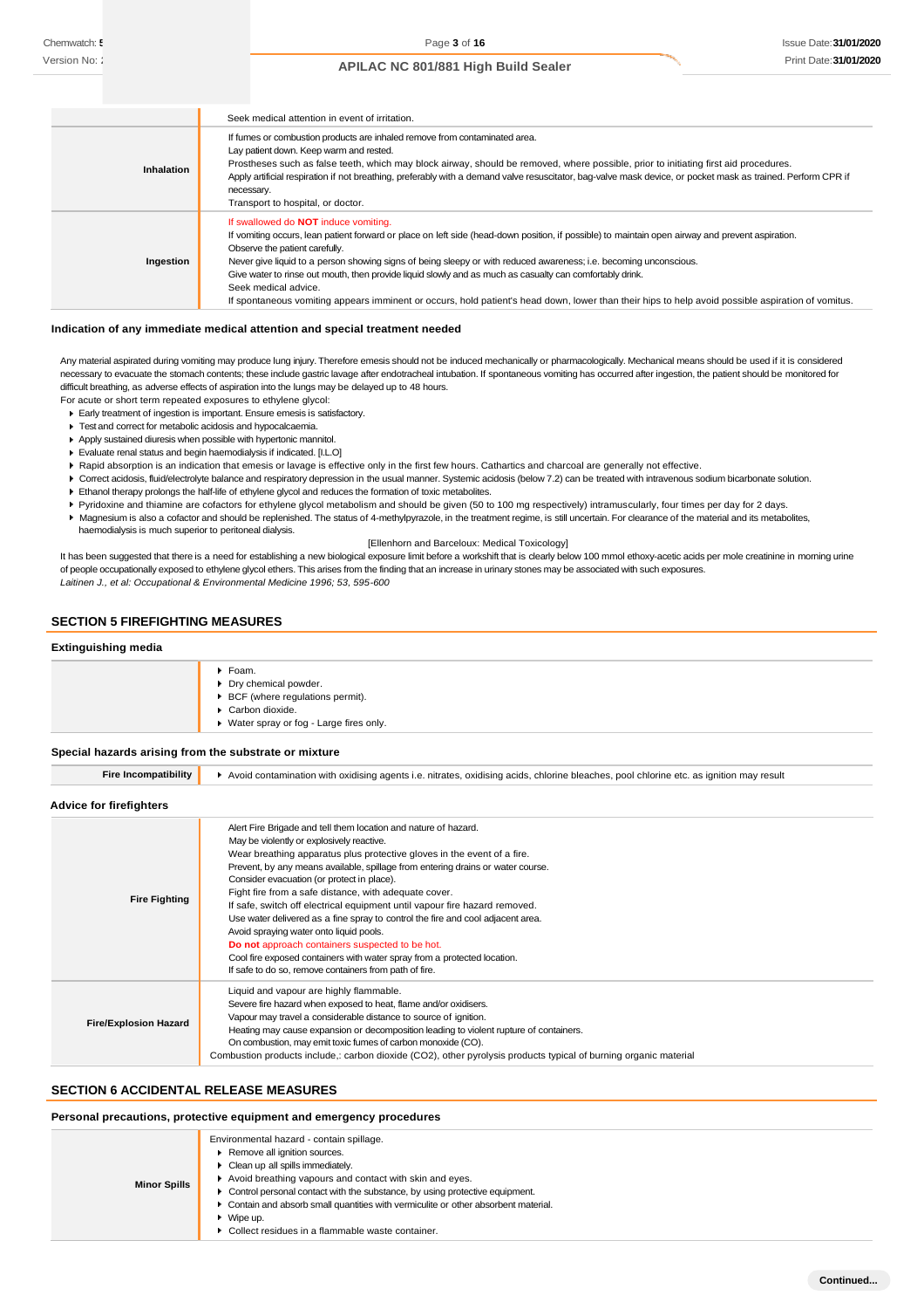|                   | Seek medical attention in event of irritation.                                                                                                                                                                                                                                                                                                                                                                                                                                                                                                                                                                                                  |  |  |
|-------------------|-------------------------------------------------------------------------------------------------------------------------------------------------------------------------------------------------------------------------------------------------------------------------------------------------------------------------------------------------------------------------------------------------------------------------------------------------------------------------------------------------------------------------------------------------------------------------------------------------------------------------------------------------|--|--|
| <b>Inhalation</b> | If fumes or combustion products are inhaled remove from contaminated area.<br>Lay patient down. Keep warm and rested.<br>Prostheses such as false teeth, which may block airway, should be removed, where possible, prior to initiating first aid procedures.<br>Apply artificial respiration if not breathing, preferably with a demand valve resuscitator, bag-valve mask device, or pocket mask as trained. Perform CPR if<br>necessary.<br>Transport to hospital, or doctor.                                                                                                                                                                |  |  |
| Ingestion         | If swallowed do <b>NOT</b> induce vomiting.<br>If vomiting occurs, lean patient forward or place on left side (head-down position, if possible) to maintain open airway and prevent aspiration.<br>Observe the patient carefully.<br>Never give liquid to a person showing signs of being sleepy or with reduced awareness; i.e. becoming unconscious.<br>Give water to rinse out mouth, then provide liquid slowly and as much as casualty can comfortably drink.<br>Seek medical advice.<br>If spontaneous vomiting appears imminent or occurs, hold patient's head down, lower than their hips to help avoid possible aspiration of vomitus. |  |  |

#### **Indication of any immediate medical attention and special treatment needed**

Any material aspirated during vomiting may produce lung injury. Therefore emesis should not be induced mechanically or pharmacologically. Mechanical means should be used if it is considered necessary to evacuate the stomach contents; these include gastric lavage after endotracheal intubation. If spontaneous vomiting has occurred after ingestion, the patient should be monitored for difficult breathing, as adverse effects of aspiration into the lungs may be delayed up to 48 hours.

- For acute or short term repeated exposures to ethylene glycol: Early treatment of ingestion is important. Ensure emesis is satisfactory.
	- Test and correct for metabolic acidosis and hypocalcaemia.
- Apply sustained diuresis when possible with hypertonic mannitol.
- Evaluate renal status and begin haemodialysis if indicated. [I.L.O]
- ▶ Rapid absorption is an indication that emesis or lavage is effective only in the first few hours. Cathartics and charcoal are generally not effective.
- ▶ Correct acidosis, fluid/electrolyte balance and respiratory depression in the usual manner. Systemic acidosis (below 7.2) can be treated with intravenous sodium bicarbonate solution.
- Ethanol therapy prolongs the half-life of ethylene glycol and reduces the formation of toxic metabolites.
- Pyridoxine and thiamine are cofactors for ethylene glycol metabolism and should be given (50 to 100 mg respectively) intramuscularly, four times per day for 2 days.
- Magnesium is also a cofactor and should be replenished. The status of 4-methylpyrazole, in the treatment regime, is still uncertain. For clearance of the material and its metabolites, haemodialysis is much superior to peritoneal dialysis.

[Ellenhorn and Barceloux: Medical Toxicology]

It has been suggested that there is a need for establishing a new biological exposure limit before a workshift that is clearly below 100 mmol ethoxy-acetic acids per mole creatinine in morning urine of people occupationally exposed to ethylene glycol ethers. This arises from the finding that an increase in urinary stones may be associated with such exposures. *Laitinen J., et al: Occupational & Environmental Medicine 1996; 53, 595-600*

# **SECTION 5 FIREFIGHTING MEASURES**

#### **Extinguishing media**

| $\triangleright$ BCF (where regulations permit).<br>$\blacktriangleright$ Carbon dioxide.<br>▶ Water spray or fog - Large fires only. | $\blacktriangleright$ Foam.<br>Dry chemical powder. |
|---------------------------------------------------------------------------------------------------------------------------------------|-----------------------------------------------------|
|---------------------------------------------------------------------------------------------------------------------------------------|-----------------------------------------------------|

#### **Special hazards arising from the substrate or mixture**

| <b>Fire Incompatibility</b>                                                                                                                                                                                                                                                                                                                                                                                                                                                                   | Avoid contamination with oxidising agents i.e. nitrates, oxidising acids, chlorine bleaches, pool chlorine etc. as ignition may result                                                                                                                                                                                                                                                                                                                                                                                                                                                                                                                                                                                                                                                 |  |  |
|-----------------------------------------------------------------------------------------------------------------------------------------------------------------------------------------------------------------------------------------------------------------------------------------------------------------------------------------------------------------------------------------------------------------------------------------------------------------------------------------------|----------------------------------------------------------------------------------------------------------------------------------------------------------------------------------------------------------------------------------------------------------------------------------------------------------------------------------------------------------------------------------------------------------------------------------------------------------------------------------------------------------------------------------------------------------------------------------------------------------------------------------------------------------------------------------------------------------------------------------------------------------------------------------------|--|--|
| Advice for firefighters                                                                                                                                                                                                                                                                                                                                                                                                                                                                       |                                                                                                                                                                                                                                                                                                                                                                                                                                                                                                                                                                                                                                                                                                                                                                                        |  |  |
| <b>Fire Fighting</b>                                                                                                                                                                                                                                                                                                                                                                                                                                                                          | Alert Fire Brigade and tell them location and nature of hazard.<br>May be violently or explosively reactive.<br>Wear breathing apparatus plus protective gloves in the event of a fire.<br>Prevent, by any means available, spillage from entering drains or water course.<br>Consider evacuation (or protect in place).<br>Fight fire from a safe distance, with adequate cover.<br>If safe, switch off electrical equipment until vapour fire hazard removed.<br>Use water delivered as a fine spray to control the fire and cool adjacent area.<br>Avoid spraying water onto liquid pools.<br>Do not approach containers suspected to be hot.<br>Cool fire exposed containers with water spray from a protected location.<br>If safe to do so, remove containers from path of fire. |  |  |
| Liquid and vapour are highly flammable.<br>Severe fire hazard when exposed to heat, flame and/or oxidisers.<br>Vapour may travel a considerable distance to source of ignition.<br><b>Fire/Explosion Hazard</b><br>Heating may cause expansion or decomposition leading to violent rupture of containers.<br>On combustion, may emit toxic fumes of carbon monoxide (CO).<br>Combustion products include,: carbon dioxide (CO2), other pyrolysis products typical of burning organic material |                                                                                                                                                                                                                                                                                                                                                                                                                                                                                                                                                                                                                                                                                                                                                                                        |  |  |

#### **SECTION 6 ACCIDENTAL RELEASE MEASURES**

### **Personal precautions, protective equipment and emergency procedures**

| <b>Minor Spills</b> | Environmental hazard - contain spillage.<br>Remove all ignition sources.<br>• Clean up all spills immediately.<br>Avoid breathing vapours and contact with skin and eyes.<br>• Control personal contact with the substance, by using protective equipment.<br>• Contain and absorb small quantities with vermiculite or other absorbent material.<br>$\bullet$ Wipe up.<br>▶ Collect residues in a flammable waste container. |
|---------------------|-------------------------------------------------------------------------------------------------------------------------------------------------------------------------------------------------------------------------------------------------------------------------------------------------------------------------------------------------------------------------------------------------------------------------------|
|---------------------|-------------------------------------------------------------------------------------------------------------------------------------------------------------------------------------------------------------------------------------------------------------------------------------------------------------------------------------------------------------------------------------------------------------------------------|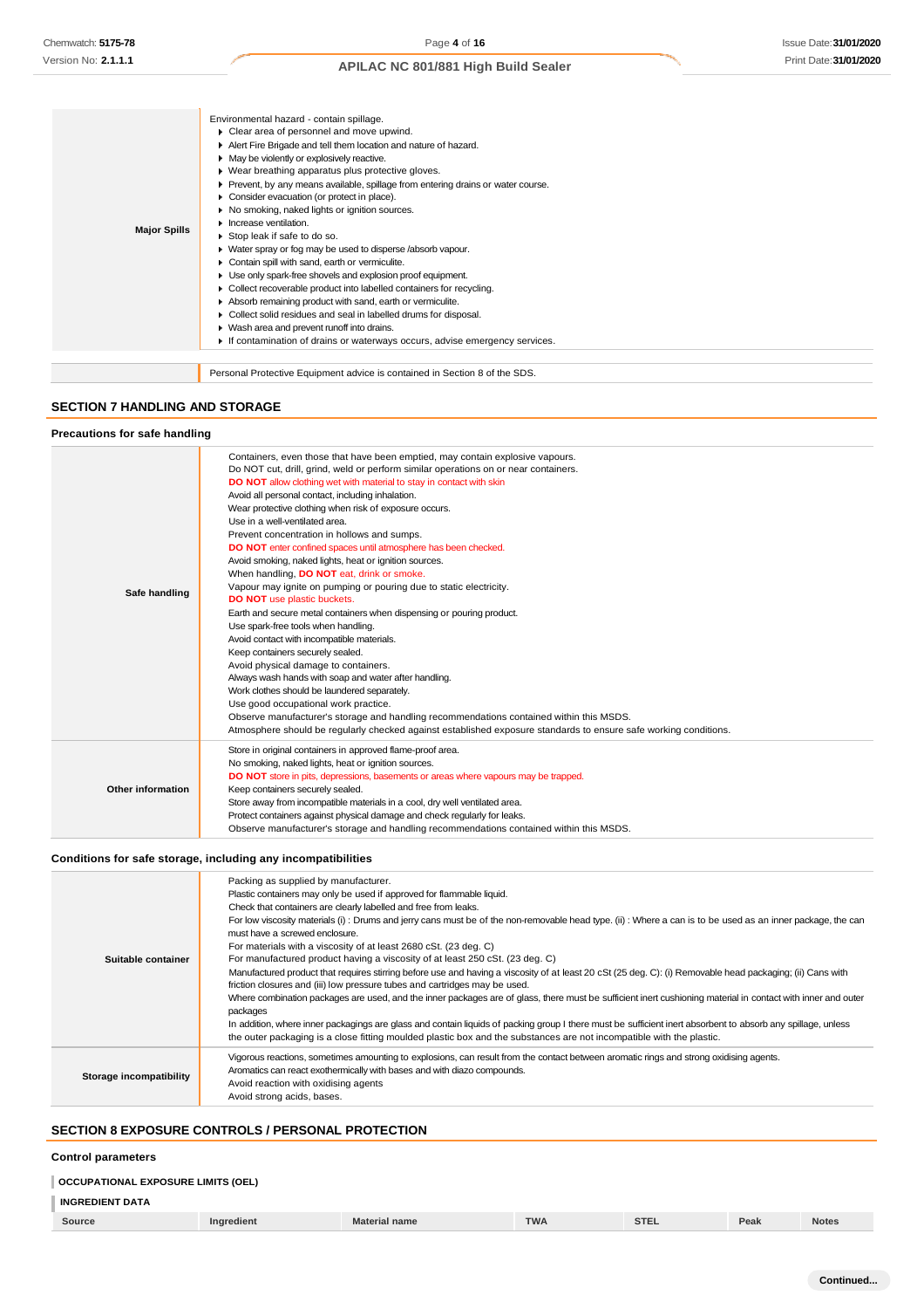|                     | Environmental hazard - contain spillage.                                          |
|---------------------|-----------------------------------------------------------------------------------|
|                     | • Clear area of personnel and move upwind.                                        |
|                     | Alert Fire Brigade and tell them location and nature of hazard.                   |
|                     | • May be violently or explosively reactive.                                       |
|                     | ▶ Wear breathing apparatus plus protective gloves.                                |
|                     | ▶ Prevent, by any means available, spillage from entering drains or water course. |
|                     | Consider evacuation (or protect in place).                                        |
|                     | No smoking, naked lights or ignition sources.                                     |
|                     | $\blacktriangleright$ Increase ventilation.                                       |
| <b>Major Spills</b> | Stop leak if safe to do so.                                                       |
|                     | • Water spray or fog may be used to disperse /absorb vapour.                      |
|                     | Contain spill with sand, earth or vermiculite.                                    |
|                     | Use only spark-free shovels and explosion proof equipment.                        |
|                     | • Collect recoverable product into labelled containers for recycling.             |
|                     | Absorb remaining product with sand, earth or vermiculite.                         |
|                     | Collect solid residues and seal in labelled drums for disposal.                   |
|                     | ▶ Wash area and prevent runoff into drains.                                       |
|                     | If contamination of drains or waterways occurs, advise emergency services.        |
|                     |                                                                                   |
|                     | Personal Protective Equipment advice is contained in Section 8 of the SDS.        |

# **SECTION 7 HANDLING AND STORAGE**

### **Precautions for safe handling**

| Safe handling     | Containers, even those that have been emptied, may contain explosive vapours.<br>Do NOT cut, drill, grind, weld or perform similar operations on or near containers.<br>DO NOT allow clothing wet with material to stay in contact with skin<br>Avoid all personal contact, including inhalation.<br>Wear protective clothing when risk of exposure occurs.<br>Use in a well-ventilated area.<br>Prevent concentration in hollows and sumps.<br>DO NOT enter confined spaces until atmosphere has been checked.<br>Avoid smoking, naked lights, heat or ignition sources.<br>When handling, DO NOT eat, drink or smoke.<br>Vapour may ignite on pumping or pouring due to static electricity.<br><b>DO NOT</b> use plastic buckets.<br>Earth and secure metal containers when dispensing or pouring product.<br>Use spark-free tools when handling.<br>Avoid contact with incompatible materials.<br>Keep containers securely sealed.<br>Avoid physical damage to containers.<br>Always wash hands with soap and water after handling.<br>Work clothes should be laundered separately.<br>Use good occupational work practice.<br>Observe manufacturer's storage and handling recommendations contained within this MSDS. |
|-------------------|---------------------------------------------------------------------------------------------------------------------------------------------------------------------------------------------------------------------------------------------------------------------------------------------------------------------------------------------------------------------------------------------------------------------------------------------------------------------------------------------------------------------------------------------------------------------------------------------------------------------------------------------------------------------------------------------------------------------------------------------------------------------------------------------------------------------------------------------------------------------------------------------------------------------------------------------------------------------------------------------------------------------------------------------------------------------------------------------------------------------------------------------------------------------------------------------------------------------------|
|                   |                                                                                                                                                                                                                                                                                                                                                                                                                                                                                                                                                                                                                                                                                                                                                                                                                                                                                                                                                                                                                                                                                                                                                                                                                           |
|                   | Atmosphere should be regularly checked against established exposure standards to ensure safe working conditions.                                                                                                                                                                                                                                                                                                                                                                                                                                                                                                                                                                                                                                                                                                                                                                                                                                                                                                                                                                                                                                                                                                          |
| Other information | Store in original containers in approved flame-proof area.<br>No smoking, naked lights, heat or ignition sources.<br>DO NOT store in pits, depressions, basements or areas where vapours may be trapped.<br>Keep containers securely sealed.<br>Store away from incompatible materials in a cool, dry well ventilated area.<br>Protect containers against physical damage and check regularly for leaks.                                                                                                                                                                                                                                                                                                                                                                                                                                                                                                                                                                                                                                                                                                                                                                                                                  |
|                   | Observe manufacturer's storage and handling recommendations contained within this MSDS.                                                                                                                                                                                                                                                                                                                                                                                                                                                                                                                                                                                                                                                                                                                                                                                                                                                                                                                                                                                                                                                                                                                                   |

# **Conditions for safe storage, including any incompatibilities**

| Suitable container      | Packing as supplied by manufacturer.<br>Plastic containers may only be used if approved for flammable liquid.<br>Check that containers are clearly labelled and free from leaks.<br>For low viscosity materials (i): Drums and jerry cans must be of the non-removable head type. (ii): Where a can is to be used as an inner package, the can<br>must have a screwed enclosure.<br>For materials with a viscosity of at least 2680 cSt. (23 deg. C)<br>For manufactured product having a viscosity of at least 250 cSt. (23 deg. C)<br>Manufactured product that requires stirring before use and having a viscosity of at least 20 cSt (25 deg. C): (i) Removable head packaging; (ii) Cans with<br>friction closures and (iii) low pressure tubes and cartridges may be used.<br>Where combination packages are used, and the inner packages are of glass, there must be sufficient inert cushioning material in contact with inner and outer<br>packages<br>In addition, where inner packagings are glass and contain liquids of packing group I there must be sufficient inert absorbent to absorb any spillage, unless<br>the outer packaging is a close fitting moulded plastic box and the substances are not incompatible with the plastic. |
|-------------------------|------------------------------------------------------------------------------------------------------------------------------------------------------------------------------------------------------------------------------------------------------------------------------------------------------------------------------------------------------------------------------------------------------------------------------------------------------------------------------------------------------------------------------------------------------------------------------------------------------------------------------------------------------------------------------------------------------------------------------------------------------------------------------------------------------------------------------------------------------------------------------------------------------------------------------------------------------------------------------------------------------------------------------------------------------------------------------------------------------------------------------------------------------------------------------------------------------------------------------------------------------|
| Storage incompatibility | Vigorous reactions, sometimes amounting to explosions, can result from the contact between aromatic rings and strong oxidising agents.<br>Aromatics can react exothermically with bases and with diazo compounds.<br>Avoid reaction with oxidising agents<br>Avoid strong acids, bases.                                                                                                                                                                                                                                                                                                                                                                                                                                                                                                                                                                                                                                                                                                                                                                                                                                                                                                                                                              |

# **SECTION 8 EXPOSURE CONTROLS / PERSONAL PROTECTION**

#### **Control parameters**

# **OCCUPATIONAL EXPOSURE LIMITS (OEL)**

# **INGREDIENT DATA**

|  | Source |  | name | TWA | $\sim$<br>SIEL | Peak | <b>Notes</b> |
|--|--------|--|------|-----|----------------|------|--------------|
|--|--------|--|------|-----|----------------|------|--------------|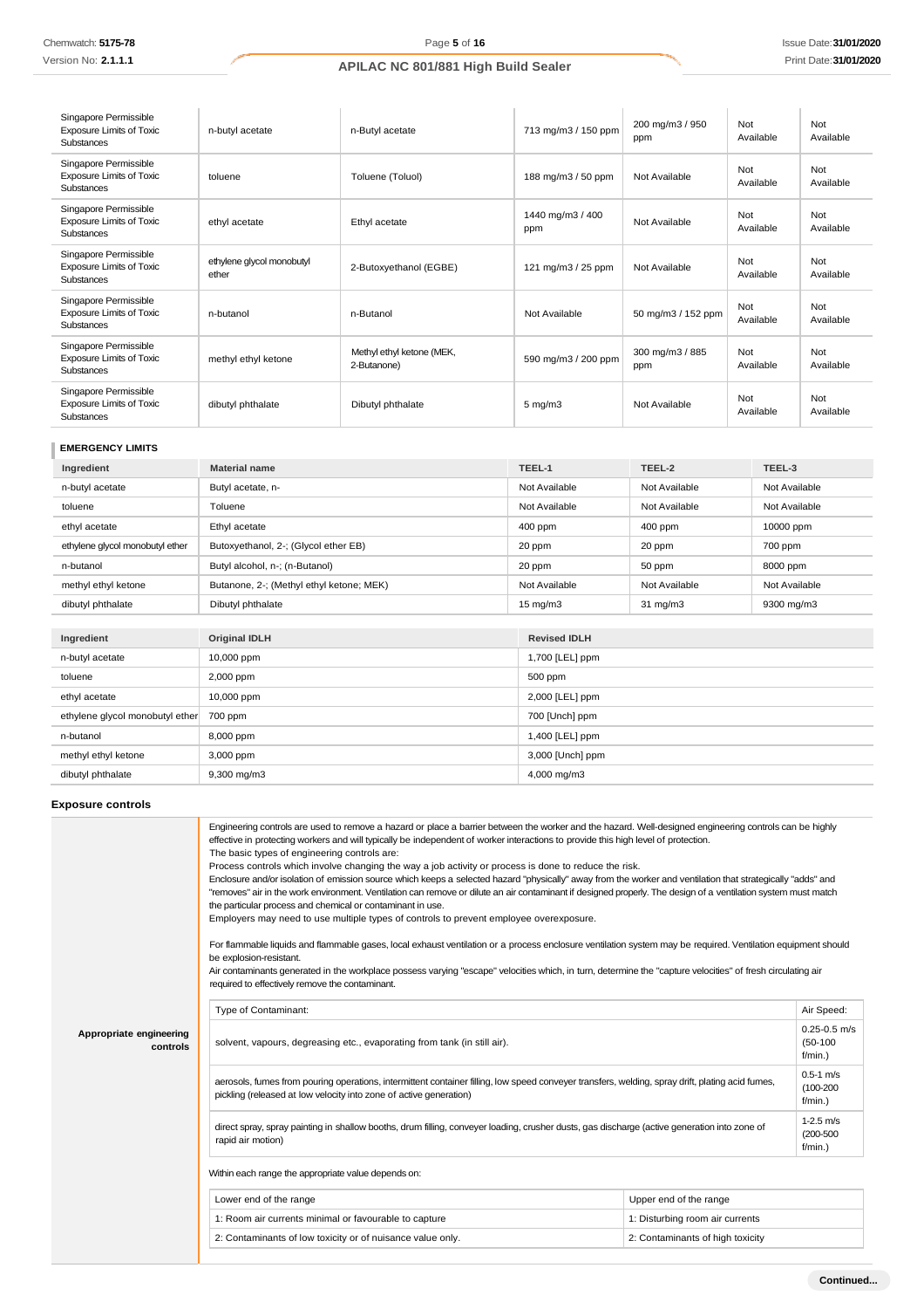| Singapore Permissible<br><b>Exposure Limits of Toxic</b><br>Substances        | n-butyl acetate                    | n-Butyl acetate                          | 713 mg/m3 / 150 ppm     | 200 mg/m3 / 950<br>ppm | Not<br>Available | Not<br>Available |
|-------------------------------------------------------------------------------|------------------------------------|------------------------------------------|-------------------------|------------------------|------------------|------------------|
| Singapore Permissible<br><b>Exposure Limits of Toxic</b><br>Substances        | toluene                            | Toluene (Toluol)                         | 188 mg/m3 / 50 ppm      | Not Available          | Not<br>Available | Not<br>Available |
| Singapore Permissible<br><b>Exposure Limits of Toxic</b><br>Substances        | ethyl acetate                      | Ethyl acetate                            | 1440 mg/m3 / 400<br>ppm | Not Available          | Not<br>Available | Not<br>Available |
| Singapore Permissible<br><b>Exposure Limits of Toxic</b><br><b>Substances</b> | ethylene glycol monobutyl<br>ether | 2-Butoxyethanol (EGBE)                   | 121 mg/m3 / 25 ppm      | Not Available          | Not<br>Available | Not<br>Available |
| Singapore Permissible<br><b>Exposure Limits of Toxic</b><br><b>Substances</b> | n-butanol                          | n-Butanol                                | Not Available           | 50 mg/m3 / 152 ppm     | Not<br>Available | Not<br>Available |
| Singapore Permissible<br><b>Exposure Limits of Toxic</b><br>Substances        | methyl ethyl ketone                | Methyl ethyl ketone (MEK,<br>2-Butanone) | 590 mg/m3 / 200 ppm     | 300 mg/m3 / 885<br>ppm | Not<br>Available | Not<br>Available |
| Singapore Permissible<br><b>Exposure Limits of Toxic</b><br>Substances        | dibutyl phthalate                  | Dibutyl phthalate                        | $5$ mg/m $3$            | Not Available          | Not<br>Available | Not<br>Available |

# **EMERGENCY LIMITS**

| Ingredient                      | <b>Material name</b>                     | TEEL-1            | TEEL-2            | TEEL-3        |
|---------------------------------|------------------------------------------|-------------------|-------------------|---------------|
| n-butyl acetate                 | Butyl acetate, n-                        | Not Available     | Not Available     | Not Available |
| toluene                         | Toluene                                  | Not Available     | Not Available     | Not Available |
| ethyl acetate                   | Ethyl acetate                            | $400$ ppm         | $400$ ppm         | 10000 ppm     |
| ethylene glycol monobutyl ether | Butoxyethanol, 2-; (Glycol ether EB)     | 20 ppm            | 20 ppm            | 700 ppm       |
| n-butanol                       | Butyl alcohol, n-; (n-Butanol)           | 20 ppm            | 50 ppm            | 8000 ppm      |
| methyl ethyl ketone             | Butanone, 2-; (Methyl ethyl ketone; MEK) | Not Available     | Not Available     | Not Available |
| dibutyl phthalate               | Dibutyl phthalate                        | $15 \text{ mg/m}$ | $31 \text{ mg/m}$ | 9300 mg/m3    |

| Ingredient                      | <b>Original IDLH</b> | <b>Revised IDLH</b> |
|---------------------------------|----------------------|---------------------|
| n-butyl acetate                 | 10,000 ppm           | 1,700 [LEL] ppm     |
| toluene                         | 2,000 ppm            | 500 ppm             |
| ethyl acetate                   | 10,000 ppm           | 2,000 [LEL] ppm     |
| ethylene glycol monobutyl ether | 700 ppm              | 700 [Unch] ppm      |
| n-butanol                       | 8,000 ppm            | 1,400 [LEL] ppm     |
| methyl ethyl ketone             | 3,000 ppm            | 3,000 [Unch] ppm    |
| dibutyl phthalate               | $9,300$ mg/m $3$     | 4,000 mg/m3         |

# **Exposure controls**

|                                     | Engineering controls are used to remove a hazard or place a barrier between the worker and the hazard. Well-designed engineering controls can be highly<br>effective in protecting workers and will typically be independent of worker interactions to provide this high level of protection.<br>The basic types of engineering controls are:<br>Process controls which involve changing the way a job activity or process is done to reduce the risk.<br>Enclosure and/or isolation of emission source which keeps a selected hazard "physically" away from the worker and ventilation that strategically "adds" and<br>"removes" air in the work environment. Ventilation can remove or dilute an air contaminant if designed properly. The design of a ventilation system must match<br>the particular process and chemical or contaminant in use.<br>Employers may need to use multiple types of controls to prevent employee overexposure.<br>For flammable liquids and flammable gases, local exhaust ventilation or a process enclosure ventilation system may be required. Ventilation equipment should<br>be explosion-resistant.<br>Air contaminants generated in the workplace possess varying "escape" velocities which, in turn, determine the "capture velocities" of fresh circulating air<br>required to effectively remove the contaminant. |                                  |                                              |
|-------------------------------------|--------------------------------------------------------------------------------------------------------------------------------------------------------------------------------------------------------------------------------------------------------------------------------------------------------------------------------------------------------------------------------------------------------------------------------------------------------------------------------------------------------------------------------------------------------------------------------------------------------------------------------------------------------------------------------------------------------------------------------------------------------------------------------------------------------------------------------------------------------------------------------------------------------------------------------------------------------------------------------------------------------------------------------------------------------------------------------------------------------------------------------------------------------------------------------------------------------------------------------------------------------------------------------------------------------------------------------------------------------------|----------------------------------|----------------------------------------------|
|                                     | Type of Contaminant:                                                                                                                                                                                                                                                                                                                                                                                                                                                                                                                                                                                                                                                                                                                                                                                                                                                                                                                                                                                                                                                                                                                                                                                                                                                                                                                                         |                                  | Air Speed:                                   |
| Appropriate engineering<br>controls | solvent, vapours, degreasing etc., evaporating from tank (in still air).                                                                                                                                                                                                                                                                                                                                                                                                                                                                                                                                                                                                                                                                                                                                                                                                                                                                                                                                                                                                                                                                                                                                                                                                                                                                                     |                                  | $0.25 - 0.5$ m/s<br>$(50-100)$<br>$f/min.$ ) |
|                                     | aerosols, fumes from pouring operations, intermittent container filling, low speed conveyer transfers, welding, spray drift, plating acid fumes,<br>pickling (released at low velocity into zone of active generation)                                                                                                                                                                                                                                                                                                                                                                                                                                                                                                                                                                                                                                                                                                                                                                                                                                                                                                                                                                                                                                                                                                                                       |                                  | $0.5 - 1$ m/s<br>$(100 - 200)$<br>$f/min.$ ) |
|                                     | direct spray, spray painting in shallow booths, drum filling, conveyer loading, crusher dusts, gas discharge (active generation into zone of<br>rapid air motion)                                                                                                                                                                                                                                                                                                                                                                                                                                                                                                                                                                                                                                                                                                                                                                                                                                                                                                                                                                                                                                                                                                                                                                                            |                                  | $1-2.5$ m/s<br>$(200 - 500)$<br>$f/min.$ )   |
|                                     | Within each range the appropriate value depends on:                                                                                                                                                                                                                                                                                                                                                                                                                                                                                                                                                                                                                                                                                                                                                                                                                                                                                                                                                                                                                                                                                                                                                                                                                                                                                                          |                                  |                                              |
|                                     | Lower end of the range                                                                                                                                                                                                                                                                                                                                                                                                                                                                                                                                                                                                                                                                                                                                                                                                                                                                                                                                                                                                                                                                                                                                                                                                                                                                                                                                       | Upper end of the range           |                                              |
|                                     | 1: Room air currents minimal or favourable to capture                                                                                                                                                                                                                                                                                                                                                                                                                                                                                                                                                                                                                                                                                                                                                                                                                                                                                                                                                                                                                                                                                                                                                                                                                                                                                                        | 1: Disturbing room air currents  |                                              |
|                                     | 2: Contaminants of low toxicity or of nuisance value only.                                                                                                                                                                                                                                                                                                                                                                                                                                                                                                                                                                                                                                                                                                                                                                                                                                                                                                                                                                                                                                                                                                                                                                                                                                                                                                   | 2: Contaminants of high toxicity |                                              |
|                                     |                                                                                                                                                                                                                                                                                                                                                                                                                                                                                                                                                                                                                                                                                                                                                                                                                                                                                                                                                                                                                                                                                                                                                                                                                                                                                                                                                              |                                  |                                              |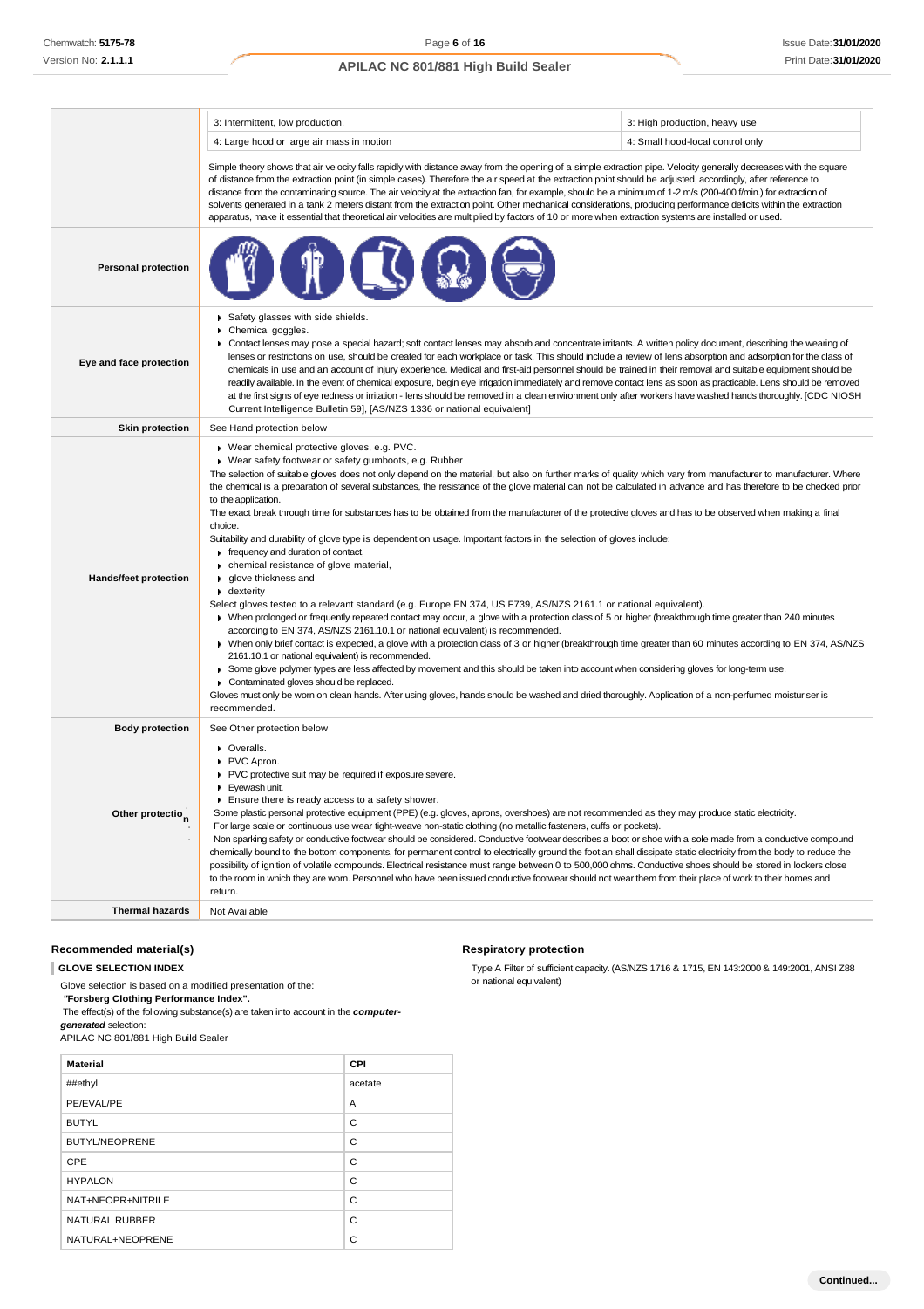|                              | 3: Intermittent, low production.                                                                                                                                                                                                                                                                                                                                                                                                                                                                                                                                                                                                                                                                                                                                                                                                                                                                                                                                                                                                                                                                                                                                                                                                                                                                                                                                                                                                                                                                                                                                                                                                                                                                                                                                                                                                                 | 3: High production, heavy use    |  |
|------------------------------|--------------------------------------------------------------------------------------------------------------------------------------------------------------------------------------------------------------------------------------------------------------------------------------------------------------------------------------------------------------------------------------------------------------------------------------------------------------------------------------------------------------------------------------------------------------------------------------------------------------------------------------------------------------------------------------------------------------------------------------------------------------------------------------------------------------------------------------------------------------------------------------------------------------------------------------------------------------------------------------------------------------------------------------------------------------------------------------------------------------------------------------------------------------------------------------------------------------------------------------------------------------------------------------------------------------------------------------------------------------------------------------------------------------------------------------------------------------------------------------------------------------------------------------------------------------------------------------------------------------------------------------------------------------------------------------------------------------------------------------------------------------------------------------------------------------------------------------------------|----------------------------------|--|
|                              | 4: Large hood or large air mass in motion                                                                                                                                                                                                                                                                                                                                                                                                                                                                                                                                                                                                                                                                                                                                                                                                                                                                                                                                                                                                                                                                                                                                                                                                                                                                                                                                                                                                                                                                                                                                                                                                                                                                                                                                                                                                        | 4: Small hood-local control only |  |
|                              | Simple theory shows that air velocity falls rapidly with distance away from the opening of a simple extraction pipe. Velocity generally decreases with the square<br>of distance from the extraction point (in simple cases). Therefore the air speed at the extraction point should be adjusted, accordingly, after reference to<br>distance from the contaminating source. The air velocity at the extraction fan, for example, should be a minimum of 1-2 m/s (200-400 f/min.) for extraction of<br>solvents generated in a tank 2 meters distant from the extraction point. Other mechanical considerations, producing performance deficits within the extraction<br>apparatus, make it essential that theoretical air velocities are multiplied by factors of 10 or more when extraction systems are installed or used.                                                                                                                                                                                                                                                                                                                                                                                                                                                                                                                                                                                                                                                                                                                                                                                                                                                                                                                                                                                                                     |                                  |  |
| <b>Personal protection</b>   |                                                                                                                                                                                                                                                                                                                                                                                                                                                                                                                                                                                                                                                                                                                                                                                                                                                                                                                                                                                                                                                                                                                                                                                                                                                                                                                                                                                                                                                                                                                                                                                                                                                                                                                                                                                                                                                  |                                  |  |
| Eye and face protection      | Safety glasses with side shields.<br>Chemical goggles.<br>Contact lenses may pose a special hazard; soft contact lenses may absorb and concentrate irritants. A written policy document, describing the wearing of<br>lenses or restrictions on use, should be created for each workplace or task. This should include a review of lens absorption and adsorption for the class of<br>chemicals in use and an account of injury experience. Medical and first-aid personnel should be trained in their removal and suitable equipment should be<br>readily available. In the event of chemical exposure, begin eye irrigation immediately and remove contact lens as soon as practicable. Lens should be removed<br>at the first signs of eye redness or irritation - lens should be removed in a clean environment only after workers have washed hands thoroughly. [CDC NIOSH<br>Current Intelligence Bulletin 59], [AS/NZS 1336 or national equivalent]                                                                                                                                                                                                                                                                                                                                                                                                                                                                                                                                                                                                                                                                                                                                                                                                                                                                                       |                                  |  |
| <b>Skin protection</b>       | See Hand protection below                                                                                                                                                                                                                                                                                                                                                                                                                                                                                                                                                                                                                                                                                                                                                                                                                                                                                                                                                                                                                                                                                                                                                                                                                                                                                                                                                                                                                                                                                                                                                                                                                                                                                                                                                                                                                        |                                  |  |
| <b>Hands/feet protection</b> | ▶ Wear chemical protective gloves, e.g. PVC.<br>▶ Wear safety footwear or safety gumboots, e.g. Rubber<br>The selection of suitable gloves does not only depend on the material, but also on further marks of quality which vary from manufacturer to manufacturer. Where<br>the chemical is a preparation of several substances, the resistance of the glove material can not be calculated in advance and has therefore to be checked prior<br>to the application.<br>The exact break through time for substances has to be obtained from the manufacturer of the protective gloves and has to be observed when making a final<br>choice.<br>Suitability and durability of glove type is dependent on usage. Important factors in the selection of gloves include:<br>Frequency and duration of contact,<br>• chemical resistance of glove material,<br>glove thickness and<br>• dexterity<br>Select gloves tested to a relevant standard (e.g. Europe EN 374, US F739, AS/NZS 2161.1 or national equivalent).<br>▶ When prolonged or frequently repeated contact may occur, a glove with a protection class of 5 or higher (breakthrough time greater than 240 minutes<br>according to EN 374, AS/NZS 2161.10.1 or national equivalent) is recommended.<br>> When only brief contact is expected, a glove with a protection class of 3 or higher (breakthrough time greater than 60 minutes according to EN 374, AS/NZS<br>2161.10.1 or national equivalent) is recommended.<br>▶ Some glove polymer types are less affected by movement and this should be taken into account when considering gloves for long-term use.<br>Contaminated gloves should be replaced.<br>Gloves must only be wom on clean hands. After using gloves, hands should be washed and dried thoroughly. Application of a non-perfumed moisturiser is<br>recommended. |                                  |  |
| <b>Body protection</b>       | See Other protection below                                                                                                                                                                                                                                                                                                                                                                                                                                                                                                                                                                                                                                                                                                                                                                                                                                                                                                                                                                                                                                                                                                                                                                                                                                                                                                                                                                                                                                                                                                                                                                                                                                                                                                                                                                                                                       |                                  |  |
| Other protectio <sub>n</sub> | • Overalls.<br>PVC Apron.<br>PVC protective suit may be required if exposure severe.<br>Eyewash unit.<br>Ensure there is ready access to a safety shower.<br>Some plastic personal protective equipment (PPE) (e.g. gloves, aprons, overshoes) are not recommended as they may produce static electricity.<br>For large scale or continuous use wear tight-weave non-static clothing (no metallic fasteners, cuffs or pockets).<br>Non sparking safety or conductive footwear should be considered. Conductive footwear describes a boot or shoe with a sole made from a conductive compound<br>chemically bound to the bottom components, for permanent control to electrically ground the foot an shall dissipate static electricity from the body to reduce the<br>possibility of ignition of volatile compounds. Electrical resistance must range between 0 to 500,000 ohms. Conductive shoes should be stored in lockers close<br>to the room in which they are wom. Personnel who have been issued conductive footwear should not wear them from their place of work to their homes and<br>return.                                                                                                                                                                                                                                                                                                                                                                                                                                                                                                                                                                                                                                                                                                                                         |                                  |  |
| <b>Thermal hazards</b>       | Not Available                                                                                                                                                                                                                                                                                                                                                                                                                                                                                                                                                                                                                                                                                                                                                                                                                                                                                                                                                                                                                                                                                                                                                                                                                                                                                                                                                                                                                                                                                                                                                                                                                                                                                                                                                                                                                                    |                                  |  |

### **Recommended material(s)**

**GLOVE SELECTION INDEX**

Glove selection is based on a modified presentation of the: *"***Forsberg Clothing Performance Index".**

The effect(s) of the following substance(s) are taken into account in the *computergenerated* selection:

APILAC NC 801/881 High Build Sealer

| <b>Material</b>       | CPI     |
|-----------------------|---------|
| ##ethyl               | acetate |
| PE/EVAL/PE            | A       |
| <b>BUTYL</b>          | C       |
| <b>BUTYL/NEOPRENE</b> | C       |
| CPE                   | C       |
| <b>HYPALON</b>        | C       |
| NAT+NEOPR+NITRILE     | C       |
| <b>NATURAL RUBBER</b> | C       |
| NATURAL+NEOPRENE      | C       |

### **Respiratory protection**

Type A Filter of sufficient capacity. (AS/NZS 1716 & 1715, EN 143:2000 & 149:2001, ANSI Z88 or national equivalent)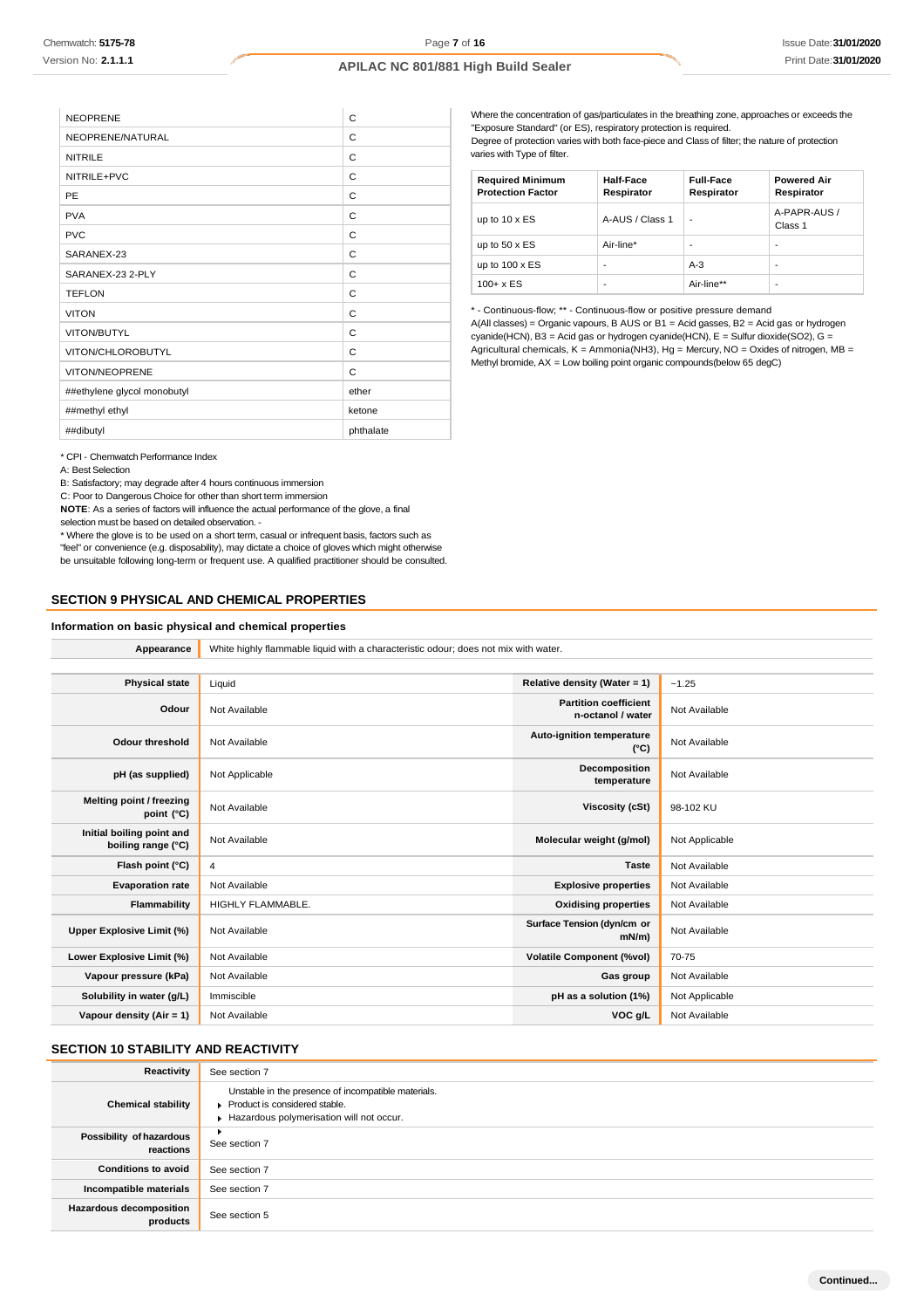| <b>NEOPRENE</b>             | C         |
|-----------------------------|-----------|
| NEOPRENE/NATURAL            | C         |
| <b>NITRILE</b>              | C         |
| NITRILE+PVC                 | С         |
| PE                          | C         |
| <b>PVA</b>                  | C         |
| <b>PVC</b>                  | C         |
| SARANEX-23                  | C         |
| SARANEX-23 2-PLY            | C         |
| <b>TEFLON</b>               | C         |
| <b>VITON</b>                | C         |
| VITON/BUTYL                 | C         |
| VITON/CHLOROBUTYL           | С         |
| <b>VITON/NEOPRENE</b>       | C         |
| ##ethylene glycol monobutyl | ether     |
| ##methyl ethyl              | ketone    |
| ##dibutyl                   | phthalate |

Where the concentration of gas/particulates in the breathing zone, approaches or exceeds the "Exposure Standard" (or ES), respiratory protection is required. Degree of protection varies with both face-piece and Class of filter; the nature of protection

varies with Type of filter.

| <b>Required Minimum</b><br><b>Protection Factor</b> | <b>Half-Face</b><br>Respirator | <b>Full-Face</b><br>Respirator | <b>Powered Air</b><br>Respirator |
|-----------------------------------------------------|--------------------------------|--------------------------------|----------------------------------|
| up to $10 \times ES$                                | A-AUS / Class 1                |                                | A-PAPR-AUS /<br>Class 1          |
| up to $50 \times ES$                                | Air-line*                      | $\overline{\phantom{0}}$       | -                                |
| up to $100 \times ES$                               | -                              | $A-3$                          | -                                |
| $100 + x ES$                                        | $\overline{\phantom{0}}$       | Air-line**                     | -                                |

\* - Continuous-flow; \*\* - Continuous-flow or positive pressure demand A(All classes) = Organic vapours, B AUS or B1 = Acid gasses, B2 = Acid gas or hydrogen cyanide(HCN), B3 = Acid gas or hydrogen cyanide(HCN), E = Sulfur dioxide(SO2), G = Agricultural chemicals, K = Ammonia(NH3), Hg = Mercury, NO = Oxides of nitrogen, MB = Methyl bromide, AX = Low boiling point organic compounds(below 65 degC)

\* CPI - Chemwatch Performance Index

A: Best Selection

B: Satisfactory; may degrade after 4 hours continuous immersion

C: Poor to Dangerous Choice for other than short term immersion

**NOTE**: As a series of factors will influence the actual performance of the glove, a final selection must be based on detailed observation. -

\* Where the glove is to be used on a short term, casual or infrequent basis, factors such as "feel" or convenience (e.g. disposability), may dictate a choice of gloves which might otherwise be unsuitable following long-term or frequent use. A qualified practitioner should be consulted.

### **SECTION 9 PHYSICAL AND CHEMICAL PROPERTIES**

#### **Information on basic physical and chemical properties**

**Appearance** White highly flammable liquid with a characteristic odour; does not mix with water.

| <b>Physical state</b>                           | Liquid            | Relative density (Water = 1)                      | $-1.25$        |
|-------------------------------------------------|-------------------|---------------------------------------------------|----------------|
| Odour                                           | Not Available     | <b>Partition coefficient</b><br>n-octanol / water | Not Available  |
| <b>Odour threshold</b>                          | Not Available     | <b>Auto-ignition temperature</b><br>$(^{\circ}C)$ | Not Available  |
| pH (as supplied)                                | Not Applicable    | Decomposition<br>temperature                      | Not Available  |
| Melting point / freezing<br>point (°C)          | Not Available     | <b>Viscosity (cSt)</b>                            | 98-102 KU      |
| Initial boiling point and<br>boiling range (°C) | Not Available     | Molecular weight (g/mol)                          | Not Applicable |
| Flash point (°C)                                | 4                 | <b>Taste</b>                                      | Not Available  |
| <b>Evaporation rate</b>                         | Not Available     | <b>Explosive properties</b>                       | Not Available  |
| Flammability                                    | HIGHLY FLAMMABLE. | <b>Oxidising properties</b>                       | Not Available  |
| Upper Explosive Limit (%)                       | Not Available     | Surface Tension (dyn/cm or<br>mN/m                | Not Available  |
| Lower Explosive Limit (%)                       | Not Available     | <b>Volatile Component (%vol)</b>                  | 70-75          |
| Vapour pressure (kPa)                           | Not Available     | Gas group                                         | Not Available  |
| Solubility in water (g/L)                       | Immiscible        | pH as a solution (1%)                             | Not Applicable |
| Vapour density $(Air = 1)$                      | Not Available     | VOC g/L                                           | Not Available  |

# **SECTION 10 STABILITY AND REACTIVITY**

| Reactivity                                 | See section 7                                                                                                                    |
|--------------------------------------------|----------------------------------------------------------------------------------------------------------------------------------|
| <b>Chemical stability</b>                  | Unstable in the presence of incompatible materials.<br>Product is considered stable.<br>Hazardous polymerisation will not occur. |
| Possibility of hazardous<br>reactions      | ٠<br>See section 7                                                                                                               |
| <b>Conditions to avoid</b>                 | See section 7                                                                                                                    |
| Incompatible materials                     | See section 7                                                                                                                    |
| <b>Hazardous decomposition</b><br>products | See section 5                                                                                                                    |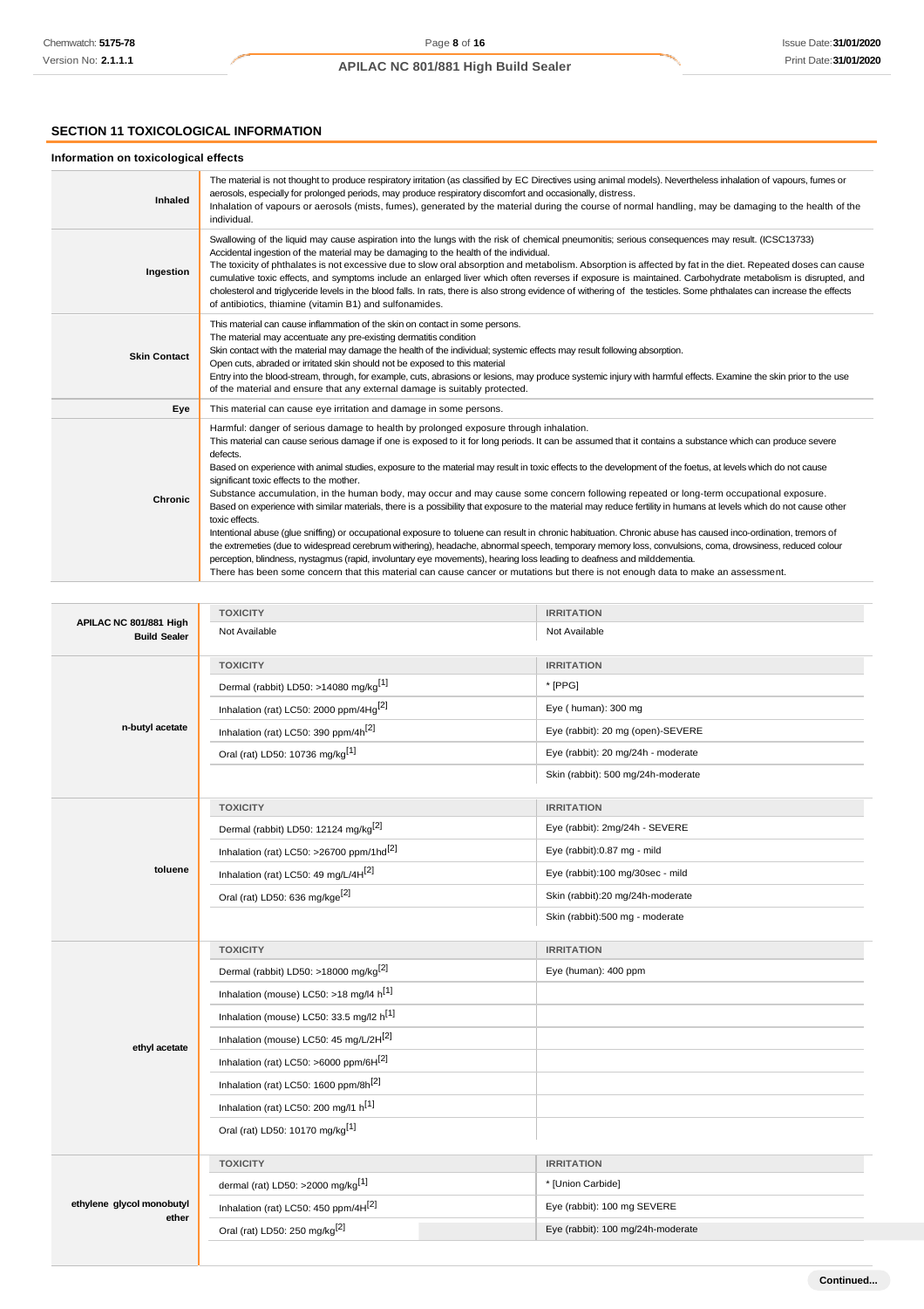# **SECTION 11 TOXICOLOGICAL INFORMATION**

# **Information on toxicological effects**

| Inhaled             | The material is not thought to produce respiratory irritation (as classified by EC Directives using animal models). Nevertheless inhalation of vapours, fumes or<br>aerosols, especially for prolonged periods, may produce respiratory discomfort and occasionally, distress.<br>Inhalation of vapours or aerosols (mists, fumes), generated by the material during the course of normal handling, may be damaging to the health of the<br>individual.                                                                                                                                                                                                                                                                                                                                                                                                                                                                                                                                                                                                                                                                                                                                                                                                                                                                                                                                                |
|---------------------|--------------------------------------------------------------------------------------------------------------------------------------------------------------------------------------------------------------------------------------------------------------------------------------------------------------------------------------------------------------------------------------------------------------------------------------------------------------------------------------------------------------------------------------------------------------------------------------------------------------------------------------------------------------------------------------------------------------------------------------------------------------------------------------------------------------------------------------------------------------------------------------------------------------------------------------------------------------------------------------------------------------------------------------------------------------------------------------------------------------------------------------------------------------------------------------------------------------------------------------------------------------------------------------------------------------------------------------------------------------------------------------------------------|
| Ingestion           | Swallowing of the liquid may cause aspiration into the lungs with the risk of chemical pneumonitis; serious consequences may result. (ICSC13733)<br>Accidental ingestion of the material may be damaging to the health of the individual.<br>The toxicity of phthalates is not excessive due to slow oral absorption and metabolism. Absorption is affected by fat in the diet. Repeated doses can cause<br>cumulative toxic effects, and symptoms include an enlarged liver which often reverses if exposure is maintained. Carbohydrate metabolism is disrupted, and<br>cholesterol and triglyceride levels in the blood falls. In rats, there is also strong evidence of withering of the testicles. Some phthalates can increase the effects<br>of antibiotics, thiamine (vitamin B1) and sulfonamides.                                                                                                                                                                                                                                                                                                                                                                                                                                                                                                                                                                                            |
| <b>Skin Contact</b> | This material can cause inflammation of the skin on contact in some persons.<br>The material may accentuate any pre-existing dermatitis condition<br>Skin contact with the material may damage the health of the individual; systemic effects may result following absorption.<br>Open cuts, abraded or irritated skin should not be exposed to this material<br>Entry into the blood-stream, through, for example, cuts, abrasions or lesions, may produce systemic injury with harmful effects. Examine the skin prior to the use<br>of the material and ensure that any external damage is suitably protected.                                                                                                                                                                                                                                                                                                                                                                                                                                                                                                                                                                                                                                                                                                                                                                                      |
| Eye                 | This material can cause eye irritation and damage in some persons.                                                                                                                                                                                                                                                                                                                                                                                                                                                                                                                                                                                                                                                                                                                                                                                                                                                                                                                                                                                                                                                                                                                                                                                                                                                                                                                                     |
| <b>Chronic</b>      | Harmful: danger of serious damage to health by prolonged exposure through inhalation.<br>This material can cause serious damage if one is exposed to it for long periods. It can be assumed that it contains a substance which can produce severe<br>defects.<br>Based on experience with animal studies, exposure to the material may result in toxic effects to the development of the foetus, at levels which do not cause<br>significant toxic effects to the mother.<br>Substance accumulation, in the human body, may occur and may cause some concern following repeated or long-term occupational exposure.<br>Based on experience with similar materials, there is a possibility that exposure to the material may reduce fertility in humans at levels which do not cause other<br>toxic effects.<br>Intentional abuse (glue sniffing) or occupational exposure to toluene can result in chronic habituation. Chronic abuse has caused inco-ordination, tremors of<br>the extremeties (due to widespread cerebrum withering), headache, abnormal speech, temporary memory loss, convulsions, coma, drowsiness, reduced colour<br>perception, blindness, nystagmus (rapid, involuntary eye movements), hearing loss leading to deafness and milddementia.<br>There has been some concern that this material can cause cancer or mutations but there is not enough data to make an assessment. |

|                                               | <b>TOXICITY</b>                                                                      | <b>IRRITATION</b>                  |  |
|-----------------------------------------------|--------------------------------------------------------------------------------------|------------------------------------|--|
| APILAC NC 801/881 High<br><b>Build Sealer</b> | Not Available                                                                        | Not Available                      |  |
|                                               | <b>TOXICITY</b>                                                                      | <b>IRRITATION</b>                  |  |
|                                               | Dermal (rabbit) LD50: >14080 mg/kg <sup>[1]</sup>                                    | * [PPG]                            |  |
|                                               | Inhalation (rat) LC50: 2000 ppm/4Hq <sup>[2]</sup>                                   | Eye (human): 300 mg                |  |
| n-butyl acetate                               | Inhalation (rat) LC50: 390 ppm/4h <sup>[2]</sup>                                     | Eye (rabbit): 20 mg (open)-SEVERE  |  |
|                                               | Oral (rat) LD50: 10736 mg/kg <sup>[1]</sup>                                          | Eye (rabbit): 20 mg/24h - moderate |  |
|                                               |                                                                                      | Skin (rabbit): 500 mg/24h-moderate |  |
|                                               | <b>TOXICITY</b>                                                                      | <b>IRRITATION</b>                  |  |
|                                               | Dermal (rabbit) LD50: 12124 mg/kg <sup>[2]</sup>                                     | Eye (rabbit): 2mg/24h - SEVERE     |  |
|                                               | Inhalation (rat) LC50: >26700 ppm/1hd <sup>[2]</sup>                                 | Eye (rabbit):0.87 mg - mild        |  |
| toluene                                       | Inhalation (rat) LC50: 49 mg/L/4H <sup>[2]</sup><br>Eye (rabbit):100 mg/30sec - mild |                                    |  |
|                                               | Oral (rat) LD50: 636 mg/kge <sup>[2]</sup><br>Skin (rabbit):20 mg/24h-moderate       |                                    |  |
|                                               |                                                                                      | Skin (rabbit):500 mg - moderate    |  |
|                                               |                                                                                      |                                    |  |
|                                               | <b>TOXICITY</b>                                                                      | <b>IRRITATION</b>                  |  |
|                                               | Dermal (rabbit) LD50: >18000 mg/kg <sup>[2]</sup>                                    | Eye (human): 400 ppm               |  |
|                                               | Inhalation (mouse) LC50: >18 mg/l4 h <sup>[1]</sup>                                  |                                    |  |
|                                               | Inhalation (mouse) LC50: 33.5 mg/l2 h <sup>[1]</sup>                                 |                                    |  |
|                                               | Inhalation (mouse) LC50: 45 mg/L/2H[2]                                               |                                    |  |
| ethyl acetate                                 | Inhalation (rat) LC50: >6000 ppm/6H[2]                                               |                                    |  |
|                                               | Inhalation (rat) LC50: 1600 ppm/8h <sup>[2]</sup>                                    |                                    |  |
|                                               | Inhalation (rat) LC50: 200 mg/l1 h[1]                                                |                                    |  |
|                                               | Oral (rat) LD50: 10170 mg/kg <sup>[1]</sup>                                          |                                    |  |
|                                               | <b>TOXICITY</b>                                                                      | <b>IRRITATION</b>                  |  |
|                                               | dermal (rat) LD50: >2000 mg/kg <sup>[1]</sup>                                        | * [Union Carbide]                  |  |
| ethylene glycol monobutyl                     | Inhalation (rat) LC50: 450 ppm/4H[2]                                                 | Eye (rabbit): 100 mg SEVERE        |  |
| ether                                         | Oral (rat) LD50: 250 mg/kg <sup>[2]</sup>                                            | Eye (rabbit): 100 mg/24h-moderate  |  |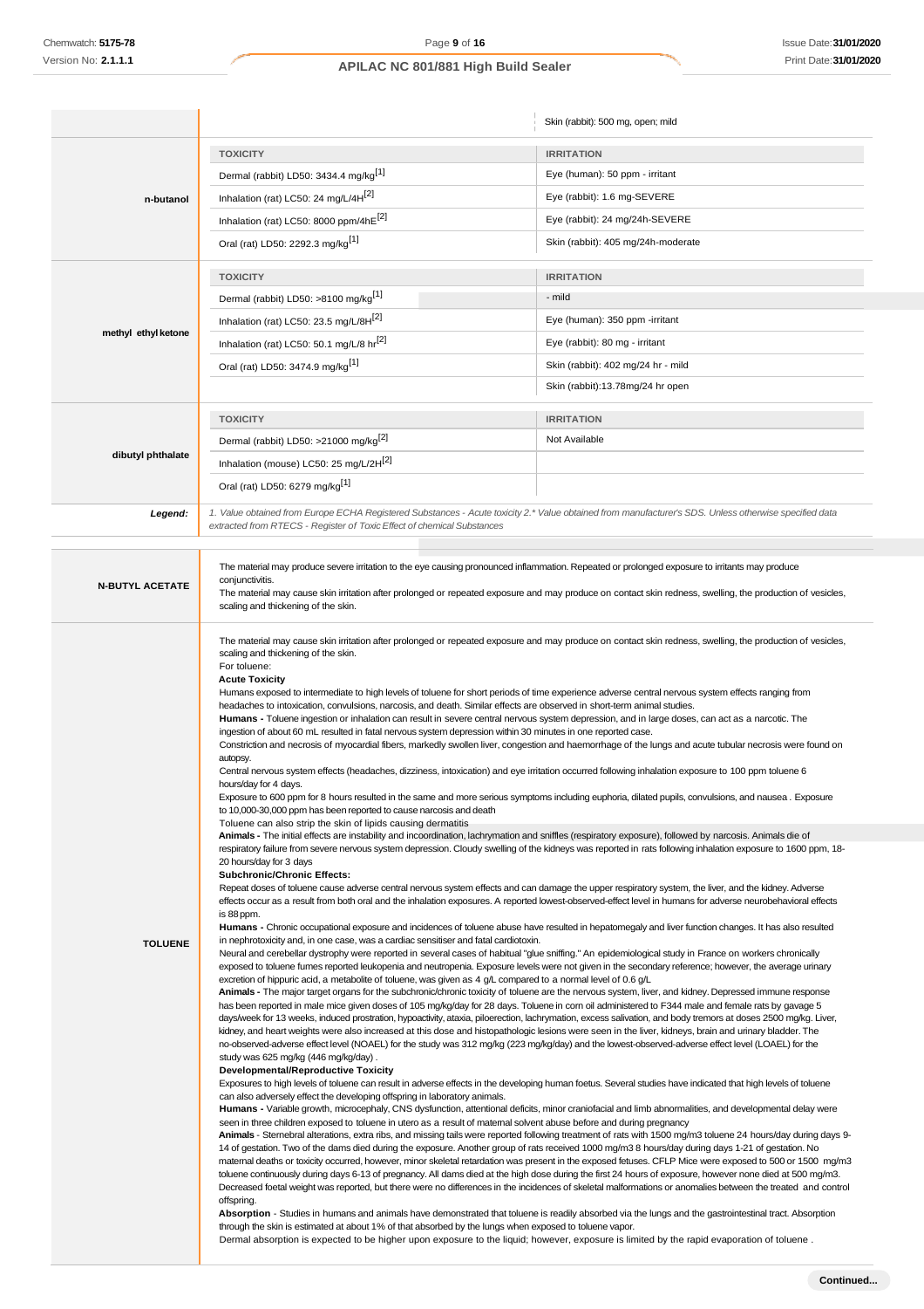|                                                                                                                                                                                                                                                                                                                                                                                                                                                                                                                                                                                                                                                                                                                                                                                                                                                                                                                                                                                                                                                                                                                                                                                                                                                                                                                                                                                    |                                                                                                                                                                                                                                                                                                                                                                                                                                                                                                                                                                                                                                                                                                                                                                                                                                                                                                                                                                                                                                                                                                                                                                                                                                                                                                                                                                                                                                                                                                                                                                                                                                                                                                                                                                                                                                                                                                                                                                                                                                                                                                                                                                                                                                                                                                                                                                                                                                                                                                                                                                                                                                                                                                                                                                                                                                                                                                                                                                                                                                                                                                                                                                                                                                                                                                                                                                                                                                                                                                                                                                                                                                                                                                                                                                                                                                                                                                                                                                                                           | Skin (rabbit): 500 mg, open; mild  |  |
|------------------------------------------------------------------------------------------------------------------------------------------------------------------------------------------------------------------------------------------------------------------------------------------------------------------------------------------------------------------------------------------------------------------------------------------------------------------------------------------------------------------------------------------------------------------------------------------------------------------------------------------------------------------------------------------------------------------------------------------------------------------------------------------------------------------------------------------------------------------------------------------------------------------------------------------------------------------------------------------------------------------------------------------------------------------------------------------------------------------------------------------------------------------------------------------------------------------------------------------------------------------------------------------------------------------------------------------------------------------------------------|-----------------------------------------------------------------------------------------------------------------------------------------------------------------------------------------------------------------------------------------------------------------------------------------------------------------------------------------------------------------------------------------------------------------------------------------------------------------------------------------------------------------------------------------------------------------------------------------------------------------------------------------------------------------------------------------------------------------------------------------------------------------------------------------------------------------------------------------------------------------------------------------------------------------------------------------------------------------------------------------------------------------------------------------------------------------------------------------------------------------------------------------------------------------------------------------------------------------------------------------------------------------------------------------------------------------------------------------------------------------------------------------------------------------------------------------------------------------------------------------------------------------------------------------------------------------------------------------------------------------------------------------------------------------------------------------------------------------------------------------------------------------------------------------------------------------------------------------------------------------------------------------------------------------------------------------------------------------------------------------------------------------------------------------------------------------------------------------------------------------------------------------------------------------------------------------------------------------------------------------------------------------------------------------------------------------------------------------------------------------------------------------------------------------------------------------------------------------------------------------------------------------------------------------------------------------------------------------------------------------------------------------------------------------------------------------------------------------------------------------------------------------------------------------------------------------------------------------------------------------------------------------------------------------------------------------------------------------------------------------------------------------------------------------------------------------------------------------------------------------------------------------------------------------------------------------------------------------------------------------------------------------------------------------------------------------------------------------------------------------------------------------------------------------------------------------------------------------------------------------------------------------------------------------------------------------------------------------------------------------------------------------------------------------------------------------------------------------------------------------------------------------------------------------------------------------------------------------------------------------------------------------------------------------------------------------------------------------------------------------------------------|------------------------------------|--|
|                                                                                                                                                                                                                                                                                                                                                                                                                                                                                                                                                                                                                                                                                                                                                                                                                                                                                                                                                                                                                                                                                                                                                                                                                                                                                                                                                                                    | <b>TOXICITY</b>                                                                                                                                                                                                                                                                                                                                                                                                                                                                                                                                                                                                                                                                                                                                                                                                                                                                                                                                                                                                                                                                                                                                                                                                                                                                                                                                                                                                                                                                                                                                                                                                                                                                                                                                                                                                                                                                                                                                                                                                                                                                                                                                                                                                                                                                                                                                                                                                                                                                                                                                                                                                                                                                                                                                                                                                                                                                                                                                                                                                                                                                                                                                                                                                                                                                                                                                                                                                                                                                                                                                                                                                                                                                                                                                                                                                                                                                                                                                                                                           | <b>IRRITATION</b>                  |  |
|                                                                                                                                                                                                                                                                                                                                                                                                                                                                                                                                                                                                                                                                                                                                                                                                                                                                                                                                                                                                                                                                                                                                                                                                                                                                                                                                                                                    | Dermal (rabbit) LD50: 3434.4 mg/kg <sup>[1]</sup>                                                                                                                                                                                                                                                                                                                                                                                                                                                                                                                                                                                                                                                                                                                                                                                                                                                                                                                                                                                                                                                                                                                                                                                                                                                                                                                                                                                                                                                                                                                                                                                                                                                                                                                                                                                                                                                                                                                                                                                                                                                                                                                                                                                                                                                                                                                                                                                                                                                                                                                                                                                                                                                                                                                                                                                                                                                                                                                                                                                                                                                                                                                                                                                                                                                                                                                                                                                                                                                                                                                                                                                                                                                                                                                                                                                                                                                                                                                                                         | Eye (human): 50 ppm - irritant     |  |
| n-butanol                                                                                                                                                                                                                                                                                                                                                                                                                                                                                                                                                                                                                                                                                                                                                                                                                                                                                                                                                                                                                                                                                                                                                                                                                                                                                                                                                                          | Inhalation (rat) LC50: 24 mg/L/4H <sup>[2]</sup>                                                                                                                                                                                                                                                                                                                                                                                                                                                                                                                                                                                                                                                                                                                                                                                                                                                                                                                                                                                                                                                                                                                                                                                                                                                                                                                                                                                                                                                                                                                                                                                                                                                                                                                                                                                                                                                                                                                                                                                                                                                                                                                                                                                                                                                                                                                                                                                                                                                                                                                                                                                                                                                                                                                                                                                                                                                                                                                                                                                                                                                                                                                                                                                                                                                                                                                                                                                                                                                                                                                                                                                                                                                                                                                                                                                                                                                                                                                                                          | Eye (rabbit): 1.6 mg-SEVERE        |  |
|                                                                                                                                                                                                                                                                                                                                                                                                                                                                                                                                                                                                                                                                                                                                                                                                                                                                                                                                                                                                                                                                                                                                                                                                                                                                                                                                                                                    | Inhalation (rat) LC50: 8000 ppm/4hE[2]                                                                                                                                                                                                                                                                                                                                                                                                                                                                                                                                                                                                                                                                                                                                                                                                                                                                                                                                                                                                                                                                                                                                                                                                                                                                                                                                                                                                                                                                                                                                                                                                                                                                                                                                                                                                                                                                                                                                                                                                                                                                                                                                                                                                                                                                                                                                                                                                                                                                                                                                                                                                                                                                                                                                                                                                                                                                                                                                                                                                                                                                                                                                                                                                                                                                                                                                                                                                                                                                                                                                                                                                                                                                                                                                                                                                                                                                                                                                                                    | Eye (rabbit): 24 mg/24h-SEVERE     |  |
|                                                                                                                                                                                                                                                                                                                                                                                                                                                                                                                                                                                                                                                                                                                                                                                                                                                                                                                                                                                                                                                                                                                                                                                                                                                                                                                                                                                    | Oral (rat) LD50: 2292.3 mg/kg <sup>[1]</sup>                                                                                                                                                                                                                                                                                                                                                                                                                                                                                                                                                                                                                                                                                                                                                                                                                                                                                                                                                                                                                                                                                                                                                                                                                                                                                                                                                                                                                                                                                                                                                                                                                                                                                                                                                                                                                                                                                                                                                                                                                                                                                                                                                                                                                                                                                                                                                                                                                                                                                                                                                                                                                                                                                                                                                                                                                                                                                                                                                                                                                                                                                                                                                                                                                                                                                                                                                                                                                                                                                                                                                                                                                                                                                                                                                                                                                                                                                                                                                              | Skin (rabbit): 405 mg/24h-moderate |  |
|                                                                                                                                                                                                                                                                                                                                                                                                                                                                                                                                                                                                                                                                                                                                                                                                                                                                                                                                                                                                                                                                                                                                                                                                                                                                                                                                                                                    | <b>TOXICITY</b>                                                                                                                                                                                                                                                                                                                                                                                                                                                                                                                                                                                                                                                                                                                                                                                                                                                                                                                                                                                                                                                                                                                                                                                                                                                                                                                                                                                                                                                                                                                                                                                                                                                                                                                                                                                                                                                                                                                                                                                                                                                                                                                                                                                                                                                                                                                                                                                                                                                                                                                                                                                                                                                                                                                                                                                                                                                                                                                                                                                                                                                                                                                                                                                                                                                                                                                                                                                                                                                                                                                                                                                                                                                                                                                                                                                                                                                                                                                                                                                           | <b>IRRITATION</b>                  |  |
|                                                                                                                                                                                                                                                                                                                                                                                                                                                                                                                                                                                                                                                                                                                                                                                                                                                                                                                                                                                                                                                                                                                                                                                                                                                                                                                                                                                    | Dermal (rabbit) LD50: >8100 mg/kg <sup>[1]</sup>                                                                                                                                                                                                                                                                                                                                                                                                                                                                                                                                                                                                                                                                                                                                                                                                                                                                                                                                                                                                                                                                                                                                                                                                                                                                                                                                                                                                                                                                                                                                                                                                                                                                                                                                                                                                                                                                                                                                                                                                                                                                                                                                                                                                                                                                                                                                                                                                                                                                                                                                                                                                                                                                                                                                                                                                                                                                                                                                                                                                                                                                                                                                                                                                                                                                                                                                                                                                                                                                                                                                                                                                                                                                                                                                                                                                                                                                                                                                                          | - mild                             |  |
|                                                                                                                                                                                                                                                                                                                                                                                                                                                                                                                                                                                                                                                                                                                                                                                                                                                                                                                                                                                                                                                                                                                                                                                                                                                                                                                                                                                    | Inhalation (rat) LC50: 23.5 mg/L/8H <sup>[2]</sup>                                                                                                                                                                                                                                                                                                                                                                                                                                                                                                                                                                                                                                                                                                                                                                                                                                                                                                                                                                                                                                                                                                                                                                                                                                                                                                                                                                                                                                                                                                                                                                                                                                                                                                                                                                                                                                                                                                                                                                                                                                                                                                                                                                                                                                                                                                                                                                                                                                                                                                                                                                                                                                                                                                                                                                                                                                                                                                                                                                                                                                                                                                                                                                                                                                                                                                                                                                                                                                                                                                                                                                                                                                                                                                                                                                                                                                                                                                                                                        | Eye (human): 350 ppm -irritant     |  |
| methyl ethyl ketone                                                                                                                                                                                                                                                                                                                                                                                                                                                                                                                                                                                                                                                                                                                                                                                                                                                                                                                                                                                                                                                                                                                                                                                                                                                                                                                                                                | Inhalation (rat) LC50: 50.1 mg/L/8 hr <sup>[2]</sup>                                                                                                                                                                                                                                                                                                                                                                                                                                                                                                                                                                                                                                                                                                                                                                                                                                                                                                                                                                                                                                                                                                                                                                                                                                                                                                                                                                                                                                                                                                                                                                                                                                                                                                                                                                                                                                                                                                                                                                                                                                                                                                                                                                                                                                                                                                                                                                                                                                                                                                                                                                                                                                                                                                                                                                                                                                                                                                                                                                                                                                                                                                                                                                                                                                                                                                                                                                                                                                                                                                                                                                                                                                                                                                                                                                                                                                                                                                                                                      | Eye (rabbit): 80 mg - irritant     |  |
|                                                                                                                                                                                                                                                                                                                                                                                                                                                                                                                                                                                                                                                                                                                                                                                                                                                                                                                                                                                                                                                                                                                                                                                                                                                                                                                                                                                    | Oral (rat) LD50: 3474.9 mg/kg <sup>[1]</sup>                                                                                                                                                                                                                                                                                                                                                                                                                                                                                                                                                                                                                                                                                                                                                                                                                                                                                                                                                                                                                                                                                                                                                                                                                                                                                                                                                                                                                                                                                                                                                                                                                                                                                                                                                                                                                                                                                                                                                                                                                                                                                                                                                                                                                                                                                                                                                                                                                                                                                                                                                                                                                                                                                                                                                                                                                                                                                                                                                                                                                                                                                                                                                                                                                                                                                                                                                                                                                                                                                                                                                                                                                                                                                                                                                                                                                                                                                                                                                              | Skin (rabbit): 402 mg/24 hr - mild |  |
|                                                                                                                                                                                                                                                                                                                                                                                                                                                                                                                                                                                                                                                                                                                                                                                                                                                                                                                                                                                                                                                                                                                                                                                                                                                                                                                                                                                    |                                                                                                                                                                                                                                                                                                                                                                                                                                                                                                                                                                                                                                                                                                                                                                                                                                                                                                                                                                                                                                                                                                                                                                                                                                                                                                                                                                                                                                                                                                                                                                                                                                                                                                                                                                                                                                                                                                                                                                                                                                                                                                                                                                                                                                                                                                                                                                                                                                                                                                                                                                                                                                                                                                                                                                                                                                                                                                                                                                                                                                                                                                                                                                                                                                                                                                                                                                                                                                                                                                                                                                                                                                                                                                                                                                                                                                                                                                                                                                                                           | Skin (rabbit):13.78mg/24 hr open   |  |
|                                                                                                                                                                                                                                                                                                                                                                                                                                                                                                                                                                                                                                                                                                                                                                                                                                                                                                                                                                                                                                                                                                                                                                                                                                                                                                                                                                                    |                                                                                                                                                                                                                                                                                                                                                                                                                                                                                                                                                                                                                                                                                                                                                                                                                                                                                                                                                                                                                                                                                                                                                                                                                                                                                                                                                                                                                                                                                                                                                                                                                                                                                                                                                                                                                                                                                                                                                                                                                                                                                                                                                                                                                                                                                                                                                                                                                                                                                                                                                                                                                                                                                                                                                                                                                                                                                                                                                                                                                                                                                                                                                                                                                                                                                                                                                                                                                                                                                                                                                                                                                                                                                                                                                                                                                                                                                                                                                                                                           |                                    |  |
|                                                                                                                                                                                                                                                                                                                                                                                                                                                                                                                                                                                                                                                                                                                                                                                                                                                                                                                                                                                                                                                                                                                                                                                                                                                                                                                                                                                    | <b>TOXICITY</b>                                                                                                                                                                                                                                                                                                                                                                                                                                                                                                                                                                                                                                                                                                                                                                                                                                                                                                                                                                                                                                                                                                                                                                                                                                                                                                                                                                                                                                                                                                                                                                                                                                                                                                                                                                                                                                                                                                                                                                                                                                                                                                                                                                                                                                                                                                                                                                                                                                                                                                                                                                                                                                                                                                                                                                                                                                                                                                                                                                                                                                                                                                                                                                                                                                                                                                                                                                                                                                                                                                                                                                                                                                                                                                                                                                                                                                                                                                                                                                                           | <b>IRRITATION</b><br>Not Available |  |
| dibutyl phthalate                                                                                                                                                                                                                                                                                                                                                                                                                                                                                                                                                                                                                                                                                                                                                                                                                                                                                                                                                                                                                                                                                                                                                                                                                                                                                                                                                                  | Dermal (rabbit) LD50: >21000 mg/kg <sup>[2]</sup>                                                                                                                                                                                                                                                                                                                                                                                                                                                                                                                                                                                                                                                                                                                                                                                                                                                                                                                                                                                                                                                                                                                                                                                                                                                                                                                                                                                                                                                                                                                                                                                                                                                                                                                                                                                                                                                                                                                                                                                                                                                                                                                                                                                                                                                                                                                                                                                                                                                                                                                                                                                                                                                                                                                                                                                                                                                                                                                                                                                                                                                                                                                                                                                                                                                                                                                                                                                                                                                                                                                                                                                                                                                                                                                                                                                                                                                                                                                                                         |                                    |  |
|                                                                                                                                                                                                                                                                                                                                                                                                                                                                                                                                                                                                                                                                                                                                                                                                                                                                                                                                                                                                                                                                                                                                                                                                                                                                                                                                                                                    | Inhalation (mouse) LC50: 25 mg/L/2H <sup>[2]</sup>                                                                                                                                                                                                                                                                                                                                                                                                                                                                                                                                                                                                                                                                                                                                                                                                                                                                                                                                                                                                                                                                                                                                                                                                                                                                                                                                                                                                                                                                                                                                                                                                                                                                                                                                                                                                                                                                                                                                                                                                                                                                                                                                                                                                                                                                                                                                                                                                                                                                                                                                                                                                                                                                                                                                                                                                                                                                                                                                                                                                                                                                                                                                                                                                                                                                                                                                                                                                                                                                                                                                                                                                                                                                                                                                                                                                                                                                                                                                                        |                                    |  |
|                                                                                                                                                                                                                                                                                                                                                                                                                                                                                                                                                                                                                                                                                                                                                                                                                                                                                                                                                                                                                                                                                                                                                                                                                                                                                                                                                                                    | Oral (rat) LD50: 6279 mg/kg <sup>[1]</sup>                                                                                                                                                                                                                                                                                                                                                                                                                                                                                                                                                                                                                                                                                                                                                                                                                                                                                                                                                                                                                                                                                                                                                                                                                                                                                                                                                                                                                                                                                                                                                                                                                                                                                                                                                                                                                                                                                                                                                                                                                                                                                                                                                                                                                                                                                                                                                                                                                                                                                                                                                                                                                                                                                                                                                                                                                                                                                                                                                                                                                                                                                                                                                                                                                                                                                                                                                                                                                                                                                                                                                                                                                                                                                                                                                                                                                                                                                                                                                                |                                    |  |
| Legend:                                                                                                                                                                                                                                                                                                                                                                                                                                                                                                                                                                                                                                                                                                                                                                                                                                                                                                                                                                                                                                                                                                                                                                                                                                                                                                                                                                            | 1. Value obtained from Europe ECHA Registered Substances - Acute toxicity 2.* Value obtained from manufacturer's SDS. Unless otherwise specified data<br>extracted from RTECS - Register of Toxic Effect of chemical Substances                                                                                                                                                                                                                                                                                                                                                                                                                                                                                                                                                                                                                                                                                                                                                                                                                                                                                                                                                                                                                                                                                                                                                                                                                                                                                                                                                                                                                                                                                                                                                                                                                                                                                                                                                                                                                                                                                                                                                                                                                                                                                                                                                                                                                                                                                                                                                                                                                                                                                                                                                                                                                                                                                                                                                                                                                                                                                                                                                                                                                                                                                                                                                                                                                                                                                                                                                                                                                                                                                                                                                                                                                                                                                                                                                                           |                                    |  |
|                                                                                                                                                                                                                                                                                                                                                                                                                                                                                                                                                                                                                                                                                                                                                                                                                                                                                                                                                                                                                                                                                                                                                                                                                                                                                                                                                                                    |                                                                                                                                                                                                                                                                                                                                                                                                                                                                                                                                                                                                                                                                                                                                                                                                                                                                                                                                                                                                                                                                                                                                                                                                                                                                                                                                                                                                                                                                                                                                                                                                                                                                                                                                                                                                                                                                                                                                                                                                                                                                                                                                                                                                                                                                                                                                                                                                                                                                                                                                                                                                                                                                                                                                                                                                                                                                                                                                                                                                                                                                                                                                                                                                                                                                                                                                                                                                                                                                                                                                                                                                                                                                                                                                                                                                                                                                                                                                                                                                           |                                    |  |
| <b>N-BUTYL ACETATE</b>                                                                                                                                                                                                                                                                                                                                                                                                                                                                                                                                                                                                                                                                                                                                                                                                                                                                                                                                                                                                                                                                                                                                                                                                                                                                                                                                                             | The material may produce severe irritation to the eye causing pronounced inflammation. Repeated or prolonged exposure to irritants may produce<br>conjunctivitis.<br>The material may cause skin irritation after prolonged or repeated exposure and may produce on contact skin redness, swelling, the production of vesicles,<br>scaling and thickening of the skin.                                                                                                                                                                                                                                                                                                                                                                                                                                                                                                                                                                                                                                                                                                                                                                                                                                                                                                                                                                                                                                                                                                                                                                                                                                                                                                                                                                                                                                                                                                                                                                                                                                                                                                                                                                                                                                                                                                                                                                                                                                                                                                                                                                                                                                                                                                                                                                                                                                                                                                                                                                                                                                                                                                                                                                                                                                                                                                                                                                                                                                                                                                                                                                                                                                                                                                                                                                                                                                                                                                                                                                                                                                    |                                    |  |
| The material may cause skin irritation after prolonged or repeated exposure and may produce on contact skin redness, swelling, the production of vesicles,<br>scaling and thickening of the skin.<br>For toluene:<br><b>Acute Toxicity</b><br>Humans exposed to intermediate to high levels of toluene for short periods of time experience adverse central nervous system effects ranging from<br>headaches to intoxication, convulsions, narcosis, and death. Similar effects are observed in short-term animal studies.<br>Humans - Toluene ingestion or inhalation can result in severe central nervous system depression, and in large doses, can act as a narcotic. The<br>ingestion of about 60 mL resulted in fatal nervous system depression within 30 minutes in one reported case.<br>Constriction and necrosis of myocardial fibers, markedly swollen liver, congestion and haemorrhage of the lungs and acute tubular necrosis were found on<br>autopsy.<br>Central nervous system effects (headaches, dizziness, intoxication) and eye irritation occurred following inhalation exposure to 100 ppm toluene 6<br>hours/day for 4 days.<br>Exposure to 600 ppm for 8 hours resulted in the same and more serious symptoms including euphoria, dilated pupils, convulsions, and nausea. Exposure<br>to 10,000-30,000 ppm has been reported to cause narcosis and death |                                                                                                                                                                                                                                                                                                                                                                                                                                                                                                                                                                                                                                                                                                                                                                                                                                                                                                                                                                                                                                                                                                                                                                                                                                                                                                                                                                                                                                                                                                                                                                                                                                                                                                                                                                                                                                                                                                                                                                                                                                                                                                                                                                                                                                                                                                                                                                                                                                                                                                                                                                                                                                                                                                                                                                                                                                                                                                                                                                                                                                                                                                                                                                                                                                                                                                                                                                                                                                                                                                                                                                                                                                                                                                                                                                                                                                                                                                                                                                                                           |                                    |  |
| <b>TOLUENE</b>                                                                                                                                                                                                                                                                                                                                                                                                                                                                                                                                                                                                                                                                                                                                                                                                                                                                                                                                                                                                                                                                                                                                                                                                                                                                                                                                                                     | Toluene can also strip the skin of lipids causing dermatitis<br>Animals - The initial effects are instability and incoordination, lachrymation and sniffles (respiratory exposure), followed by narcosis. Animals die of<br>respiratory failure from severe nervous system depression. Cloudy swelling of the kidneys was reported in rats following inhalation exposure to 1600 ppm, 18-<br>20 hours/day for 3 days<br><b>Subchronic/Chronic Effects:</b><br>Repeat doses of toluene cause adverse central nervous system effects and can damage the upper respiratory system, the liver, and the kidney. Adverse<br>effects occur as a result from both oral and the inhalation exposures. A reported lowest-observed-effect level in humans for adverse neurobehavioral effects<br>is 88 ppm.<br>Humans - Chronic occupational exposure and incidences of toluene abuse have resulted in hepatomegaly and liver function changes. It has also resulted<br>in nephrotoxicity and, in one case, was a cardiac sensitiser and fatal cardiotoxin.<br>Neural and cerebellar dystrophy were reported in several cases of habitual "glue sniffing." An epidemiological study in France on workers chronically<br>exposed to toluene fumes reported leukopenia and neutropenia. Exposure levels were not given in the secondary reference; however, the average urinary<br>excretion of hippuric acid, a metabolite of toluene, was given as 4 g/L compared to a normal level of 0.6 g/L<br>Animals - The major target organs for the subchronic/chronic toxicity of toluene are the nervous system, liver, and kidney. Depressed immune response<br>has been reported in male mice given doses of 105 mg/kg/day for 28 days. Toluene in corn oil administered to F344 male and female rats by gavage 5<br>days/week for 13 weeks, induced prostration, hypoactivity, ataxia, piloerection, lachrymation, excess salivation, and body tremors at doses 2500 mg/kg. Liver,<br>kidney, and heart weights were also increased at this dose and histopathologic lesions were seen in the liver, kidneys, brain and urinary bladder. The<br>no-observed-adverse effect level (NOAEL) for the study was 312 mg/kg (223 mg/kg/day) and the lowest-observed-adverse effect level (LOAEL) for the<br>study was 625 mg/kg (446 mg/kg/day).<br><b>Developmental/Reproductive Toxicity</b><br>Exposures to high levels of toluene can result in adverse effects in the developing human foetus. Several studies have indicated that high levels of toluene<br>can also adversely effect the developing offspring in laboratory animals.<br>Humans - Variable growth, microcephaly, CNS dysfunction, attentional deficits, minor craniofacial and limb abnormalities, and developmental delay were<br>seen in three children exposed to toluene in utero as a result of maternal solvent abuse before and during pregnancy<br>Animals - Stemebral alterations, extra ribs, and missing tails were reported following treatment of rats with 1500 mg/m3 toluene 24 hours/day during days 9-<br>14 of gestation. Two of the dams died during the exposure. Another group of rats received 1000 mg/m3 8 hours/day during days 1-21 of gestation. No<br>matemal deaths or toxicity occurred, however, minor skeletal retardation was present in the exposed fetuses. CFLP Mice were exposed to 500 or 1500 mg/m3<br>toluene continuously during days 6-13 of pregnancy. All dams died at the high dose during the first 24 hours of exposure, however none died at 500 mg/m3.<br>Decreased foetal weight was reported, but there were no differences in the incidences of skeletal malformations or anomalies between the treated and control<br>offspring.<br>Absorption - Studies in humans and animals have demonstrated that toluene is readily absorbed via the lungs and the gastrointestinal tract. Absorption<br>through the skin is estimated at about 1% of that absorbed by the lungs when exposed to toluene vapor. |                                    |  |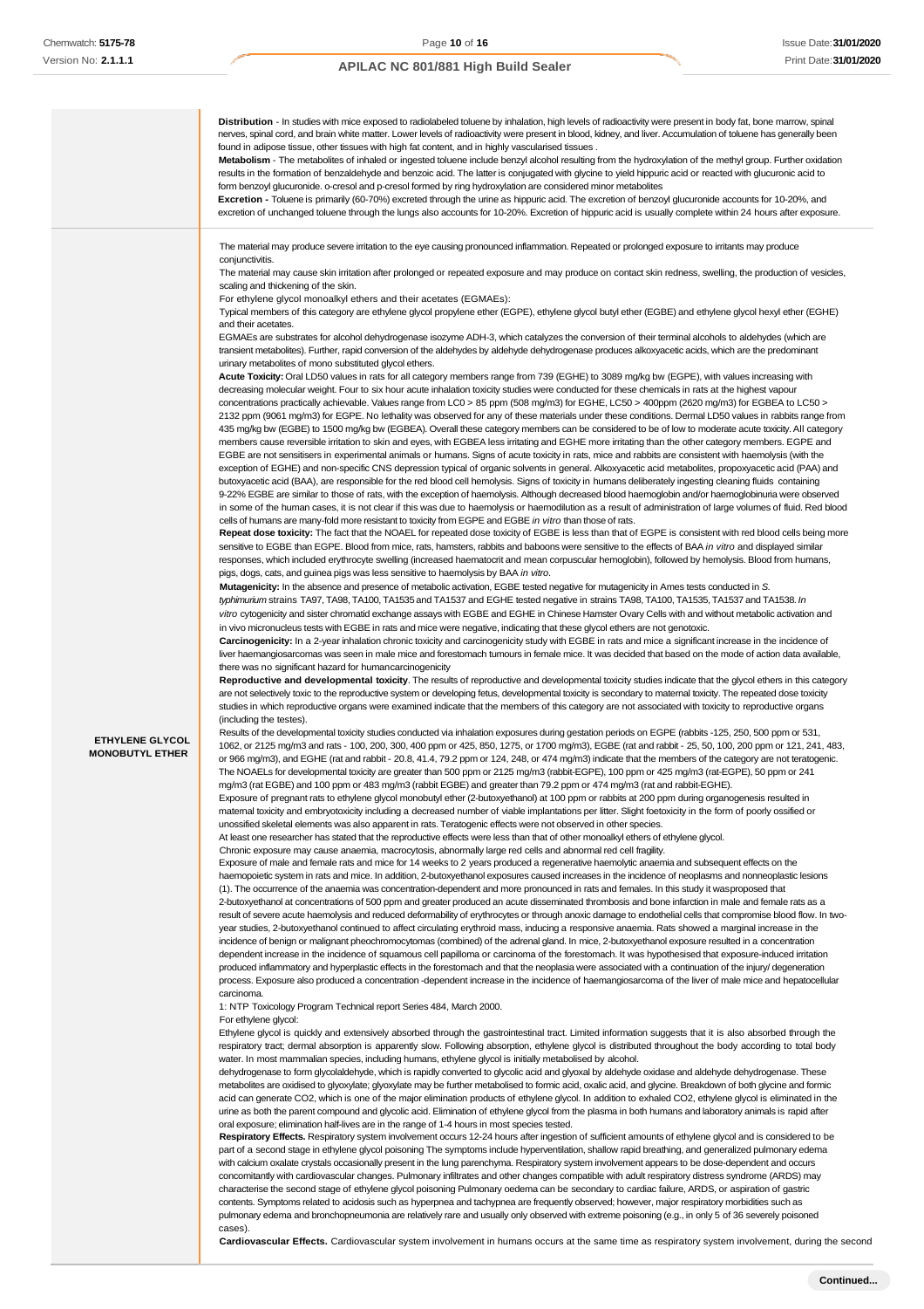**Distribution** - In studies with mice exposed to radiolabeled toluene by inhalation, high levels of radioactivity were present in body fat, bone marrow, spinal ves, spinal cord, and brain white matter. Lower levels of radioactivity were present in blood, kidney, and liver. Accumulation of toluene has generally been found in adipose tissue, other tissues with high fat content, and in highly vascularised tissues **Metabolism** - The metabolites of inhaled or ingested toluene include benzyl alcohol resulting from the hydroxylation of the methyl group. Further oxidation results in the formation of benzaldehyde and benzoic acid. The latter is conjugated with glycine to yield hippuric acid or reacted with glucuronic acid to form benzoyl glucuronide. o-cresol and p-cresol formed by ring hydroxylation are considered minor metabolites **Excretion -** Toluene is primarily (60-70%) excreted through the urine as hippuric acid. The excretion of benzoyl glucuronide accounts for 10-20%, and excretion of unchanged toluene through the lungs also accounts for 10-20%. Excretion of hippuric acid is usually complete within 24 hours after exposure. **ETHYLENE GLYCOL MONOBUTYL ETHER** The material may produce severe irritation to the eye causing pronounced inflammation. Repeated or prolonged exposure to irritants may produce conjunctivitis. The material may cause skin irritation after prolonged or repeated exposure and may produce on contact skin redness, swelling, the production of vesicles, scaling and thickening of the skin. For ethylene glycol monoalkyl ethers and their acetates (EGMAEs): Typical members of this category are ethylene glycol propylene ether (EGPE), ethylene glycol butyl ether (EGBE) and ethylene glycol hexyl ether (EGHE) and their acetates. EGMAEs are substrates for alcohol dehydrogenase isozyme ADH-3, which catalyzes the conversion of their terminal alcohols to aldehydes (which are transient metabolites). Further, rapid conversion of the aldehydes by aldehyde dehydrogenase produces alkoxyacetic acids, which are the predominant urinary metabolites of mono substituted glycol ethers. **Acute Toxicity:** Oral LD50 values in rats for all category members range from 739 (EGHE) to 3089 mg/kg bw (EGPE), with values increasing with decreasing molecular weight. Four to six hour acute inhalation toxicity studies were conducted for these chemicals in rats at the highest vapour concentrations practically achievable. Values range from LC0 > 85 ppm (508 mg/m3) for EGHE, LC50 > 400ppm (2620 mg/m3) for EGBEA to LC50 > 2132 ppm (9061 mg/m3) for EGPE. No lethality was observed for any of these materials under these conditions. Dermal LD50 values in rabbits range from 435 mg/kg bw (EGBE) to 1500 mg/kg bw (EGBEA). Overall these category members can be considered to be of low to moderate acute toxicity. All category members cause reversible irritation to skin and eyes, with EGBEA less irritating and EGHE more irritating than the other category members. EGPE and EGBE are not sensitisers in experimental animals or humans. Signs of acute toxicity in rats, mice and rabbits are consistent with haemolysis (with the exception of EGHE) and non-specific CNS depression typical of organic solvents in general. Alkoxyacetic acid metabolites, propoxyacetic acid (PAA) and butoxyacetic acid (BAA), are responsible for the red blood cell hemolysis. Signs of toxicity in humans deliberately ingesting cleaning fluids containing 9-22% EGBE are similar to those of rats, with the exception of haemolysis. Although decreased blood haemoglobin and/or haemoglobinuria were observed in some of the human cases, it is not clear if this was due to haemolysis or haemodilution as a result of administration of large volumes of fluid. Red blood cells of humans are many-fold more resistant to toxicity from EGPE and EGBE *in vitro* than those of rats. **Repeat dose toxicity:** The fact that the NOAEL for repeated dose toxicity of EGBE is less than that of EGPE is consistent with red blood cells being more sensitive to EGBE than EGPE. Blood from mice, rats, hamsters, rabbits and baboons were sensitive to the effects of BAA *in vitro* and displayed similar responses, which included erythrocyte swelling (increased haematocrit and mean corpuscular hemoglobin), followed by hemolysis. Blood from humans, pigs, dogs, cats, and guinea pigs was less sensitive to haemolysis by BAA *in vitro*. **Mutagenicity:** In the absence and presence of metabolic activation, EGBE tested negative for mutagenicity in Ames tests conducted in *S. typhimurium* strains TA97, TA98, TA100, TA1535 and TA1537 and EGHE tested negative in strains TA98, TA100, TA1535, TA1537 and TA1538. *In vitro* cytogenicity and sister chromatid exchange assays with EGBE and EGHE in Chinese Hamster Ovary Cells with and without metabolic activation and in vivo micronucleus tests with EGBE in rats and mice were negative, indicating that these glycol ethers are not genotoxic. **Carcinogenicity:** In a 2-year inhalation chronic toxicity and carcinogenicity study with EGBE in rats and mice a significant increase in the incidence of liver haemangiosarcomas was seen in male mice and forestomach tumours in female mice. It was decided that based on the mode of action data available there was no significant hazard for humancarcinogenicity Reproductive and developmental toxicity. The results of reproductive and developmental toxicity studies indicate that the glycol ethers in this category are not selectively toxic to the reproductive system or developing fetus, developmental toxicity is secondary to maternal toxicity. The repeated dose toxicity studies in which reproductive organs were examined indicate that the members of this category are not associated with toxicity to reproductive organs (including the testes). Results of the developmental toxicity studies conducted via inhalation exposures during gestation periods on EGPE (rabbits -125, 250, 500 ppm or 531, 1062, or 2125 mg/m3 and rats - 100, 200, 300, 400 ppm or 425, 850, 1275, or 1700 mg/m3), EGBE (rat and rabbit - 25, 50, 100, 200 ppm or 121, 241, 483, or 966 mg/m3), and EGHE (rat and rabbit - 20.8, 41.4, 79.2 ppm or 124, 248, or 474 mg/m3) indicate that the members of the category are not teratogenic. The NOAELs for developmental toxicity are greater than 500 ppm or 2125 mg/m3 (rabbit-EGPE), 100 ppm or 425 mg/m3 (rat-EGPE), 50 ppm or 241 mg/m3 (rat EGBE) and 100 ppm or 483 mg/m3 (rabbit EGBE) and greater than 79.2 ppm or 474 mg/m3 (rat and rabbit-EGHE). Exposure of pregnant rats to ethylene glycol monobutyl ether (2-butoxyethanol) at 100 ppm or rabbits at 200 ppm during organogenesis resulted in maternal toxicity and embryotoxicity including a decreased number of viable implantations per litter. Slight foetoxicity in the form of poorly ossified or unossified skeletal elements was also apparent in rats. Teratogenic effects were not observed in other species. At least one researcher has stated that the reproductive effects were less than that of other monoalkyl ethers of ethylene glycol. Chronic exposure may cause anaemia, macrocytosis, abnormally large red cells and abnormal red cell fragility. Exposure of male and female rats and mice for 14 weeks to 2 years produced a regenerative haemolytic anaemia and subsequent effects on the haemopoietic system in rats and mice. In addition, 2-butoxyethanol exposures caused increases in the incidence of neoplasms and nonneoplastic lesions (1). The occurrence of the anaemia was concentration-dependent and more pronounced in rats and females. In this study it wasproposed that 2-butoxyethanol at concentrations of 500 ppm and greater produced an acute disseminated thrombosis and bone infarction in male and female rats as a result of severe acute haemolysis and reduced deformability of erythrocytes or through anoxic damage to endothelial cells that compromise blood flow. In twoyear studies, 2-butoxyethanol continued to affect circulating erythroid mass, inducing a responsive anaemia. Rats showed a marginal increase in the incidence of benign or malignant pheochromocytomas (combined) of the adrenal gland. In mice, 2-butoxyethanol exposure resulted in a concentration dependent increase in the incidence of squamous cell papilloma or carcinoma of the forestomach. It was hypothesised that exposure-induced irritation produced inflammatory and hyperplastic effects in the forestomach and that the neoplasia were associated with a continuation of the injury/ degeneration process. Exposure also produced a concentration -dependent increase in the incidence of haemangiosarcoma of the liver of male mice and hepatocellular carcinoma. 1: NTP Toxicology Program Technical report Series 484, March 2000. For ethylene glycol: Ethylene glycol is quickly and extensively absorbed through the gastrointestinal tract. Limited information suggests that it is also absorbed through the respiratory tract; dermal absorption is apparently slow. Following absorption, ethylene glycol is distributed throughout the body according to total body water. In most mammalian species, including humans, ethylene glycol is initially metabolised by alcohol. dehydrogenase to form glycolaldehyde, which is rapidly converted to glycolic acid and glyoxal by aldehyde oxidase and aldehyde dehydrogenase. These metabolites are oxidised to glyoxylate; glyoxylate may be further metabolised to formic acid, oxalic acid, and glycine. Breakdown of both glycine and formic acid can generate CO2, which is one of the major elimination products of ethylene glycol. In addition to exhaled CO2, ethylene glycol is eliminated in the urine as both the parent compound and glycolic acid. Elimination of ethylene glycol from the plasma in both humans and laboratory animals is rapid after oral exposure; elimination half-lives are in the range of 1-4 hours in most species tested. Respiratory Effects. Respiratory system involvement occurs 12-24 hours after ingestion of sufficient amounts of ethylene glycol and is considered to be part of a second stage in ethylene glycol poisoning The symptoms include hyperventilation, shallow rapid breathing, and generalized pulmonary edema with calcium oxalate crystals occasionally present in the lung parenchyma. Respiratory system involvement appears to be dose-dependent and occurs concomitantly with cardiovascular changes. Pulmonary infiltrates and other changes compatible with adult respiratory distress syndrome (ARDS) may characterise the second stage of ethylene glycol poisoning Pulmonary oedema can be secondary to cardiac failure, ARDS, or aspiration of gastric contents. Symptoms related to acidosis such as hyperpnea and tachypnea are frequently observed; however, major respiratory morbidities such as

pulmonary edema and bronchopneumonia are relatively rare and usually only observed with extreme poisoning (e.g., in only 5 of 36 severely poisoned cases).

**Cardiovascular Effects.** Cardiovascular system involvement in humans occurs at the same time as respiratory system involvement, during the second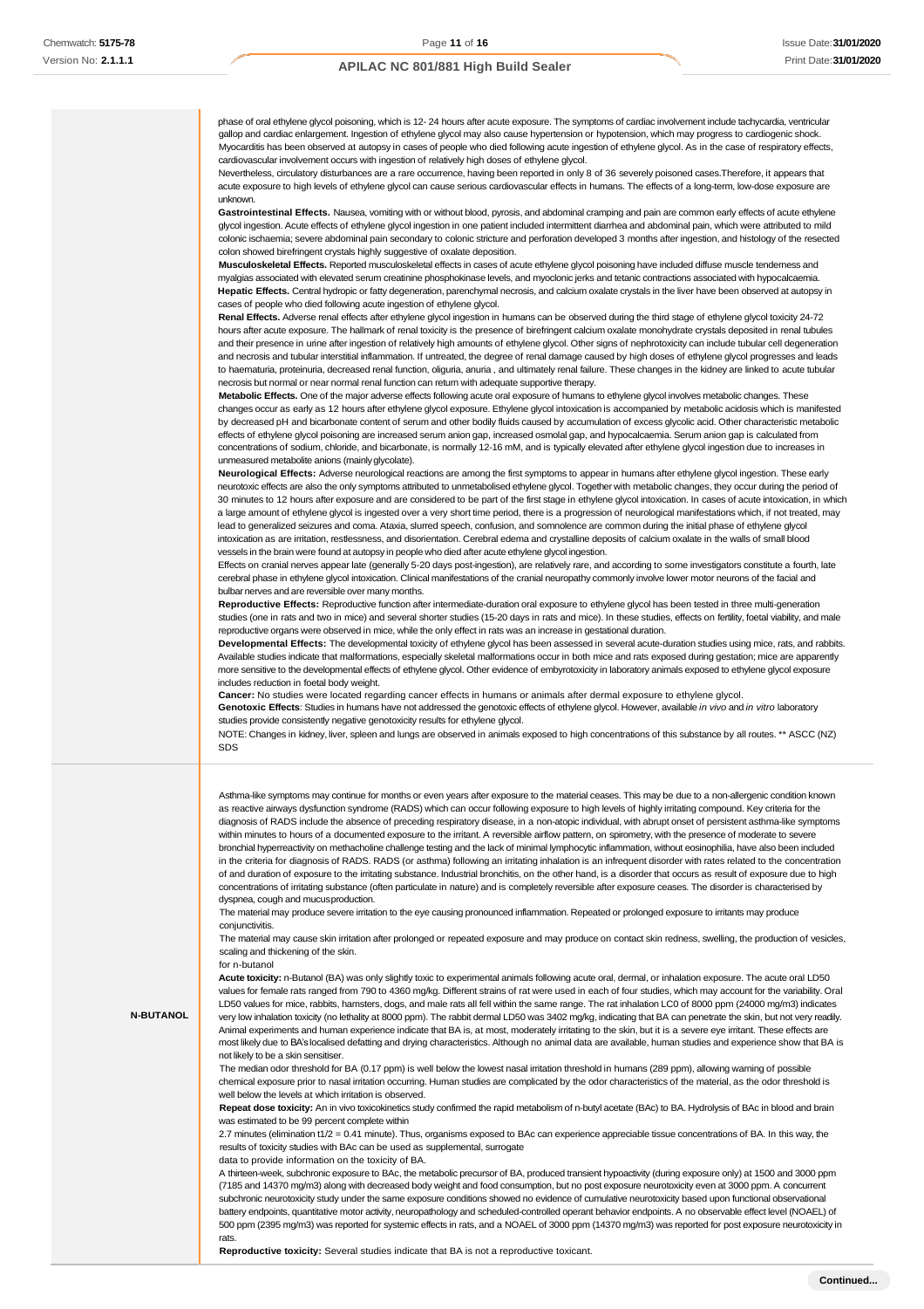phase of oral ethylene glycol poisoning, which is 12- 24 hours after acute exposure. The symptoms of cardiac involvement include tachycardia, ventricular gallop and cardiac enlargement. Ingestion of ethylene glycol may also cause hypertension or hypotension, which may progress to cardiogenic shock. Myocarditis has been observed at autopsy in cases of people who died following acute ingestion of ethylene glycol. As in the case of respiratory effects, cardiovascular involvement occurs with ingestion of relatively high doses of ethylene glycol.

Nevertheless, circulatory disturbances are a rare occurrence, having been reported in only 8 of 36 severely poisoned cases.Therefore, it appears that acute exposure to high levels of ethylene glycol can cause serious cardiovascular effects in humans. The effects of a long-term, low-dose exposure are unknown.

**Gastrointestinal Effects.** Nausea, vomiting with or without blood, pyrosis, and abdominal cramping and pain are common early effects of acute ethylene glycol ingestion. Acute effects of ethylene glycol ingestion in one patient included intermittent diarrhea and abdominal pain, which were attributed to mild colonic ischaemia; severe abdominal pain secondary to colonic stricture and perforation developed 3 months after ingestion, and histology of the resected colon showed birefringent crystals highly suggestive of oxalate deposition.

**Musculoskeletal Effects.** Reported musculoskeletal effects in cases of acute ethylene glycol poisoning have included diffuse muscle tenderness and myalgias associated with elevated serum creatinine phosphokinase levels, and myoclonic jerks and tetanic contractions associated with hypocalcaemia. **Hepatic Effects.** Central hydropic or fatty degeneration, parenchymal necrosis, and calcium oxalate crystals in the liver have been observed at autopsy in cases of people who died following acute ingestion of ethylene glycol.

**Renal Effects.** Adverse renal effects after ethylene glycol ingestion in humans can be observed during the third stage of ethylene glycol toxicity 24-72 hours after acute exposure. The hallmark of renal toxicity is the presence of birefringent calcium oxalate monohydrate crystals deposited in renal tubules and their presence in urine after ingestion of relatively high amounts of ethylene glycol. Other signs of nephrotoxicity can include tubular cell degeneration and necrosis and tubular interstitial inflammation. If untreated, the degree of renal damage caused by high doses of ethylene glycol progresses and leads to haematuria, proteinuria, decreased renal function, oliguria, anuria , and ultimately renal failure. These changes in the kidney are linked to acute tubular necrosis but normal or near normal renal function can return with adequate supportive therapy.

**Metabolic Effects.** One of the major adverse effects following acute oral exposure of humans to ethylene glycol involves metabolic changes. These changes occur as early as 12 hours after ethylene glycol exposure. Ethylene glycol intoxication is accompanied by metabolic acidosis which is manifested by decreased pH and bicarbonate content of serum and other bodily fluids caused by accumulation of excess glycolic acid. Other characteristic metabolic effects of ethylene glycol poisoning are increased serum anion gap, increased osmolal gap, and hypocalcaemia. Serum anion gap is calculated from concentrations of sodium, chloride, and bicarbonate, is normally 12-16 mM, and is typically elevated after ethylene glycol ingestion due to increases in unmeasured metabolite anions (mainlyglycolate).

**Neurological Effects:** Adverse neurological reactions are among the first symptoms to appear in humans after ethylene glycol ingestion. These early neurotoxic effects are also the only symptoms attributed to unmetabolised ethylene glycol. Together with metabolic changes, they occur during the period of 30 minutes to 12 hours after exposure and are considered to be part of the first stage in ethylene glycol intoxication. In cases of acute intoxication, in which a large amount of ethylene glycol is ingested over a very short time period, there is a progression of neurological manifestations which, if not treated, may lead to generalized seizures and coma. Ataxia, slurred speech, confusion, and somnolence are common during the initial phase of ethylene glycol intoxication as are irritation, restlessness, and disorientation. Cerebral edema and crystalline deposits of calcium oxalate in the walls of small blood vessels in the brain were found at autopsy in people who died after acute ethylene glycol ingestion.

Effects on cranial nerves appear late (generally 5-20 days post-ingestion), are relatively rare, and according to some investigators constitute a fourth, late cerebral phase in ethylene glycol intoxication. Clinical manifestations of the cranial neuropathy commonly involve lower motor neurons of the facial and bulbar nerves and are reversible over many months.

**Reproductive Effects:** Reproductive function after intermediate-duration oral exposure to ethylene glycol has been tested in three multi-generation studies (one in rats and two in mice) and several shorter studies (15-20 days in rats and mice). In these studies, effects on fertility, foetal viability, and male reproductive organs were observed in mice, while the only effect in rats was an increase in gestational duration.

**Developmental Effects:** The developmental toxicity of ethylene glycol has been assessed in several acute-duration studies using mice, rats, and rabbits. Available studies indicate that malformations, especially skeletal malformations occur in both mice and rats exposed during gestation; mice are apparently more sensitive to the developmental effects of ethylene glycol. Other evidence of embyrotoxicity in laboratory animals exposed to ethylene glycol exposure includes reduction in foetal body weight.

**Cancer:** No studies were located regarding cancer effects in humans or animals after dermal exposure to ethylene glycol.

**Genotoxic Effects**: Studies in humans have not addressed the genotoxic effects of ethylene glycol. However, available *in vivo* and *in vitro* laboratory studies provide consistently negative genotoxicity results for ethylene glycol.

NOTE: Changes in kidney, liver, spleen and lungs are observed in animals exposed to high concentrations of this substance by all routes. \*\* ASCC (NZ) SDS

Asthma-like symptoms may continue for months or even years after exposure to the material ceases. This may be due to a non-allergenic condition known as reactive airways dysfunction syndrome (RADS) which can occur following exposure to high levels of highly irritating compound. Key criteria for the diagnosis of RADS include the absence of preceding respiratory disease, in a non-atopic individual, with abrupt onset of persistent asthma-like symptoms within minutes to hours of a documented exposure to the irritant. A reversible airflow pattern, on spirometry, with the presence of moderate to severe bronchial hyperreactivity on methacholine challenge testing and the lack of minimal lymphocytic inflammation, without eosinophilia, have also been included in the criteria for diagnosis of RADS. RADS (or asthma) following an irritating inhalation is an infrequent disorder with rates related to the concentration of and duration of exposure to the irritating substance. Industrial bronchitis, on the other hand, is a disorder that occurs as result of exposure due to high concentrations of irritating substance (often particulate in nature) and is completely reversible after exposure ceases. The disorder is characterised by dyspnea, cough and mucusproduction.

The material may produce severe irritation to the eye causing pronounced inflammation. Repeated or prolonged exposure to irritants may produce conjunctivitis.

The material may cause skin irritation after prolonged or repeated exposure and may produce on contact skin redness, swelling, the production of vesicles, scaling and thickening of the skin.

#### for n-butanol

**N-BUTANOL**

**Acute toxicity:** n-Butanol (BA) was only slightly toxic to experimental animals following acute oral, dermal, or inhalation exposure. The acute oral LD50 values for female rats ranged from 790 to 4360 mg/kg. Different strains of rat were used in each of four studies, which may account for the variability. Oral LD50 values for mice, rabbits, hamsters, dogs, and male rats all fell within the same range. The rat inhalation LC0 of 8000 ppm (24000 mg/m3) indicates very low inhalation toxicity (no lethality at 8000 ppm). The rabbit dermal LD50 was 3402 mg/kg, indicating that BA can penetrate the skin, but not very readily. Animal experiments and human experience indicate that BA is, at most, moderately irritating to the skin, but it is a severe eye irritant. These effects are most likely due to BA's localised defatting and drying characteristics. Although no animal data are available, human studies and experience show that BA is not likely to be a skin sensitiser.

The median odor threshold for BA (0.17 ppm) is well below the lowest nasal irritation threshold in humans (289 ppm), allowing warning of possible chemical exposure prior to nasal irritation occurring. Human studies are complicated by the odor characteristics of the material, as the odor threshold is well below the levels at which irritation is observed.

**Repeat dose toxicity:** An in vivo toxicokinetics study confirmed the rapid metabolism of n-butyl acetate (BAc) to BA. Hydrolysis of BAc in blood and brain was estimated to be 99 percent complete within

2.7 minutes (elimination t1/2 = 0.41 minute). Thus, organisms exposed to BAc can experience appreciable tissue concentrations of BA. In this way, the results of toxicity studies with BAc can be used as supplemental, surrogate

data to provide information on the toxicity of BA.

A thirteen-week, subchronic exposure to BAc, the metabolic precursor of BA, produced transient hypoactivity (during exposure only) at 1500 and 3000 ppm (7185 and 14370 mg/m3) along with decreased body weight and food consumption, but no post exposure neurotoxicity even at 3000 ppm. A concurrent subchronic neurotoxicity study under the same exposure conditions showed no evidence of cumulative neurotoxicity based upon functional observational battery endpoints, quantitative motor activity, neuropathology and scheduled-controlled operant behavior endpoints. A no observable effect level (NOAEL) of 500 ppm (2395 mg/m3) was reported for systemic effects in rats, and a NOAEL of 3000 ppm (14370 mg/m3) was reported for post exposure neurotoxicity in rats.

**Reproductive toxicity:** Several studies indicate that BA is not a reproductive toxicant.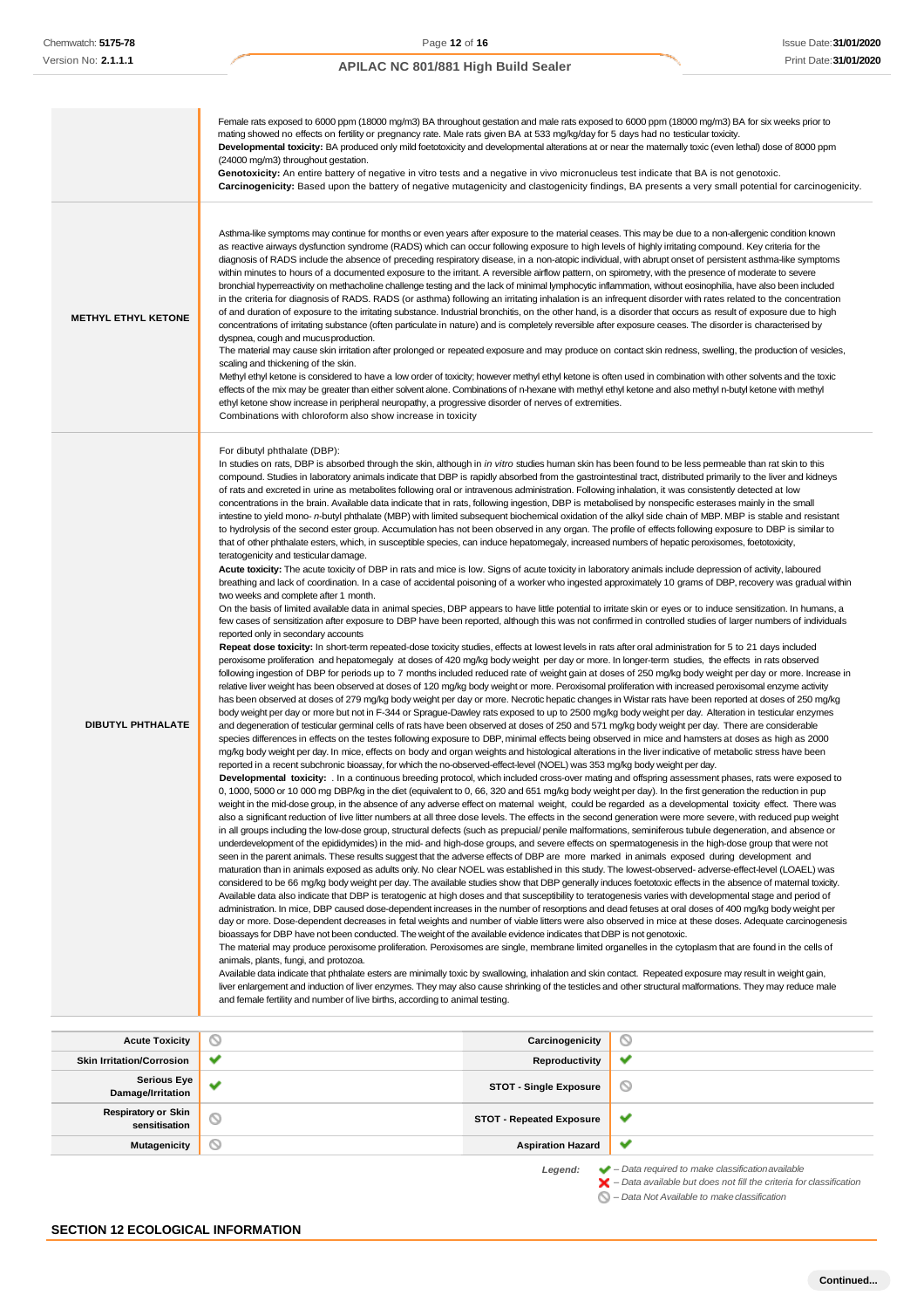|                                             | Female rats exposed to 6000 ppm (18000 mg/m3) BA throughout gestation and male rats exposed to 6000 ppm (18000 mg/m3) BA for six weeks prior to<br>mating showed no effects on fertility or pregnancy rate. Male rats given BA at 533 mg/kg/day for 5 days had no testicular toxicity.<br>Developmental toxicity: BA produced only mild foetotoxicity and developmental alterations at or near the matemally toxic (even lethal) dose of 8000 ppm<br>(24000 mg/m3) throughout gestation.<br>Genotoxicity: An entire battery of negative in vitro tests and a negative in vivo micronucleus test indicate that BA is not genotoxic.                                                                                                                                                                                                                                                                                                                                                                                                                                                                                                                                                                                                                                                                                                                                                                                                                                                                                                                                                                                                                                                                                                                                                                                                                                                                                                                                                                                                                                                                                                                                                                                                                                                                                                                                                                                                                                                                                                                                                                                                                                                                                                                                                                                                                                                                                                                                                                                                                                                                                                                                                                                                                                                                                                                                                                                                                                                                                                                                                                                                                                                                                                                                                                                                                                                                                                                                                                                                                                                                                                                                                                                                                                                                                                                                                                                                                                                                                                                                                                                                                                                                                                                                                                                                                                                                                                                                                                                                                                                                                                                                                                                                                                                                                                                                                                                                                                                                                                                                                                                                                                                                                                                                                                                                                                                                                                                                                                                                                                                                                                                                             |                                 | Carcinogenicity: Based upon the battery of negative mutagenicity and clastogenicity findings, BA presents a very small potential for carcinogenicity. |
|---------------------------------------------|--------------------------------------------------------------------------------------------------------------------------------------------------------------------------------------------------------------------------------------------------------------------------------------------------------------------------------------------------------------------------------------------------------------------------------------------------------------------------------------------------------------------------------------------------------------------------------------------------------------------------------------------------------------------------------------------------------------------------------------------------------------------------------------------------------------------------------------------------------------------------------------------------------------------------------------------------------------------------------------------------------------------------------------------------------------------------------------------------------------------------------------------------------------------------------------------------------------------------------------------------------------------------------------------------------------------------------------------------------------------------------------------------------------------------------------------------------------------------------------------------------------------------------------------------------------------------------------------------------------------------------------------------------------------------------------------------------------------------------------------------------------------------------------------------------------------------------------------------------------------------------------------------------------------------------------------------------------------------------------------------------------------------------------------------------------------------------------------------------------------------------------------------------------------------------------------------------------------------------------------------------------------------------------------------------------------------------------------------------------------------------------------------------------------------------------------------------------------------------------------------------------------------------------------------------------------------------------------------------------------------------------------------------------------------------------------------------------------------------------------------------------------------------------------------------------------------------------------------------------------------------------------------------------------------------------------------------------------------------------------------------------------------------------------------------------------------------------------------------------------------------------------------------------------------------------------------------------------------------------------------------------------------------------------------------------------------------------------------------------------------------------------------------------------------------------------------------------------------------------------------------------------------------------------------------------------------------------------------------------------------------------------------------------------------------------------------------------------------------------------------------------------------------------------------------------------------------------------------------------------------------------------------------------------------------------------------------------------------------------------------------------------------------------------------------------------------------------------------------------------------------------------------------------------------------------------------------------------------------------------------------------------------------------------------------------------------------------------------------------------------------------------------------------------------------------------------------------------------------------------------------------------------------------------------------------------------------------------------------------------------------------------------------------------------------------------------------------------------------------------------------------------------------------------------------------------------------------------------------------------------------------------------------------------------------------------------------------------------------------------------------------------------------------------------------------------------------------------------------------------------------------------------------------------------------------------------------------------------------------------------------------------------------------------------------------------------------------------------------------------------------------------------------------------------------------------------------------------------------------------------------------------------------------------------------------------------------------------------------------------------------------------------------------------------------------------------------------------------------------------------------------------------------------------------------------------------------------------------------------------------------------------------------------------------------------------------------------------------------------------------------------------------------------------------------------------------------------------------------------------------------------------------------------------------------|---------------------------------|-------------------------------------------------------------------------------------------------------------------------------------------------------|
| <b>METHYL ETHYL KETONE</b>                  | Asthma-like symptoms may continue for months or even years after exposure to the material ceases. This may be due to a non-allergenic condition known<br>as reactive airways dysfunction syndrome (RADS) which can occur following exposure to high levels of highly irritating compound. Key criteria for the<br>diagnosis of RADS include the absence of preceding respiratory disease, in a non-atopic individual, with abrupt onset of persistent asthma-like symptoms<br>within minutes to hours of a documented exposure to the irritant. A reversible airflow pattern, on spirometry, with the presence of moderate to severe<br>bronchial hyperreactivity on methacholine challenge testing and the lack of minimal lymphocytic inflammation, without eosinophilia, have also been included<br>in the criteria for diagnosis of RADS. RADS (or asthma) following an irritating inhalation is an infrequent disorder with rates related to the concentration<br>of and duration of exposure to the irritating substance. Industrial bronchitis, on the other hand, is a disorder that occurs as result of exposure due to high<br>concentrations of irritating substance (often particulate in nature) and is completely reversible after exposure ceases. The disorder is characterised by<br>dyspnea, cough and mucus production.<br>The material may cause skin irritation after prolonged or repeated exposure and may produce on contact skin redness, swelling, the production of vesicles,<br>scaling and thickening of the skin.<br>Methyl ethyl ketone is considered to have a low order of toxicity; however methyl ethyl ketone is often used in combination with other solvents and the toxic<br>effects of the mix may be greater than either solvent alone. Combinations of n-hexane with methyl ethyl ketone and also methyl n-butyl ketone with methyl<br>ethyl ketone show increase in peripheral neuropathy, a progressive disorder of nerves of extremities.<br>Combinations with chloroform also show increase in toxicity                                                                                                                                                                                                                                                                                                                                                                                                                                                                                                                                                                                                                                                                                                                                                                                                                                                                                                                                                                                                                                                                                                                                                                                                                                                                                                                                                                                                                                                                                                                                                                                                                                                                                                                                                                                                                                                                                                                                                                                                                                                                                                                                                                                                                                                                                                                                                                                                                                                                                                                                                                                                                                                                                                                                                                                                                                                                                                                                                                                                                                                                                                                                                                                                                                                                                                                                                                                                                                                                                                                                                                                                                                                                                                                                                                                                                                                                                                                                                                                                                                                                                                                          |                                 |                                                                                                                                                       |
| DIBUTYL PHTHALATE                           | For dibutyl phthalate (DBP):<br>In studies on rats, DBP is absorbed through the skin, although in in vitro studies human skin has been found to be less permeable than rat skin to this<br>compound. Studies in laboratory animals indicate that DBP is rapidly absorbed from the gastrointestinal tract, distributed primarily to the liver and kidneys<br>of rats and excreted in urine as metabolites following oral or intravenous administration. Following inhalation, it was consistently detected at low<br>concentrations in the brain. Available data indicate that in rats, following ingestion, DBP is metabolised by nonspecific esterases mainly in the small<br>intestine to yield mono- n-butyl phthalate (MBP) with limited subsequent biochemical oxidation of the alkyl side chain of MBP. MBP is stable and resistant<br>to hydrolysis of the second ester group. Accumulation has not been observed in any organ. The profile of effects following exposure to DBP is similar to<br>that of other phthalate esters, which, in susceptible species, can induce hepatomegaly, increased numbers of hepatic peroxisomes, foetotoxicity,<br>teratogenicity and testicular damage.<br>Acute toxicity: The acute toxicity of DBP in rats and mice is low. Signs of acute toxicity in laboratory animals include depression of activity, laboured<br>breathing and lack of coordination. In a case of accidental poisoning of a worker who ingested approximately 10 grams of DBP, recovery was gradual within<br>two weeks and complete after 1 month.<br>On the basis of limited available data in animal species, DBP appears to have little potential to irritate skin or eyes or to induce sensitization. In humans, a<br>few cases of sensitization after exposure to DBP have been reported, although this was not confirmed in controlled studies of larger numbers of individuals<br>reported only in secondary accounts<br>Repeat dose toxicity: In short-term repeated-dose toxicity studies, effects at lowest levels in rats after oral administration for 5 to 21 days included<br>peroxisome proliferation and hepatomegaly at doses of 420 mg/kg body weight per day or more. In longer-term studies, the effects in rats observed<br>following ingestion of DBP for periods up to 7 months included reduced rate of weight gain at doses of 250 mg/kg body weight per day or more. Increase in<br>relative liver weight has been observed at doses of 120 mg/kg body weight or more. Peroxisomal proliferation with increased peroxisomal enzyme activity<br>has been observed at doses of 279 mg/kg body weight per day or more. Necrotic hepatic changes in Wistar rats have been reported at doses of 250 mg/kg<br>body weight per day or more but not in F-344 or Sprague-Dawley rats exposed to up to 2500 mg/kg body weight per day. Alteration in testicular enzymes<br>and degeneration of testicular germinal cells of rats have been observed at doses of 250 and 571 mg/kg body weight per day. There are considerable<br>species differences in effects on the testes following exposure to DBP, minimal effects being observed in mice and hamsters at doses as high as 2000<br>mg/kg body weight per day. In mice, effects on body and organ weights and histological alterations in the liver indicative of metabolic stress have been<br>reported in a recent subchronic bioassay, for which the no-observed-effect-level (NOEL) was 353 mg/kg body weight per day.<br>Developmental toxicity: . In a continuous breeding protocol, which included cross-over mating and offspring assessment phases, rats were exposed to<br>0, 1000, 5000 or 10 000 mg DBP/kg in the diet (equivalent to 0, 66, 320 and 651 mg/kg body weight per day). In the first generation the reduction in pup<br>weight in the mid-dose group, in the absence of any adverse effect on maternal weight, could be regarded as a developmental toxicity effect. There was<br>also a significant reduction of live litter numbers at all three dose levels. The effects in the second generation were more severe, with reduced pup weight<br>in all groups including the low-dose group, structural defects (such as prepucial/ penile malformations, seminiferous tubule degeneration, and absence or<br>underdevelopment of the epididymides) in the mid- and high-dose groups, and severe effects on spermatogenesis in the high-dose group that were not<br>seen in the parent animals. These results suggest that the adverse effects of DBP are more marked in animals exposed during development and<br>maturation than in animals exposed as adults only. No clear NOEL was established in this study. The lowest-observed-adverse-effect-level (LOAEL) was<br>considered to be 66 mg/kg body weight per day. The available studies show that DBP generally induces foetotoxic effects in the absence of matemal toxicity.<br>Available data also indicate that DBP is teratogenic at high doses and that susceptibility to teratogenesis varies with developmental stage and period of<br>administration. In mice, DBP caused dose-dependent increases in the number of resorptions and dead fetuses at oral doses of 400 mg/kg body weight per<br>day or more. Dose-dependent decreases in fetal weights and number of viable litters were also observed in mice at these doses. Adequate carcinogenesis<br>bioassays for DBP have not been conducted. The weight of the available evidence indicates that DBP is not genotoxic.<br>The material may produce peroxisome proliferation. Peroxisomes are single, membrane limited organelles in the cytoplasm that are found in the cells of<br>animals, plants, fungi, and protozoa.<br>Available data indicate that phthalate esters are minimally toxic by swallowing, inhalation and skin contact. Repeated exposure may result in weight gain,<br>liver enlargement and induction of liver enzymes. They may also cause shrinking of the testicles and other structural malformations. They may reduce male<br>and female fertility and number of live births, according to animal testing. |                                 |                                                                                                                                                       |
| <b>Acute Toxicity</b>                       | O                                                                                                                                                                                                                                                                                                                                                                                                                                                                                                                                                                                                                                                                                                                                                                                                                                                                                                                                                                                                                                                                                                                                                                                                                                                                                                                                                                                                                                                                                                                                                                                                                                                                                                                                                                                                                                                                                                                                                                                                                                                                                                                                                                                                                                                                                                                                                                                                                                                                                                                                                                                                                                                                                                                                                                                                                                                                                                                                                                                                                                                                                                                                                                                                                                                                                                                                                                                                                                                                                                                                                                                                                                                                                                                                                                                                                                                                                                                                                                                                                                                                                                                                                                                                                                                                                                                                                                                                                                                                                                                                                                                                                                                                                                                                                                                                                                                                                                                                                                                                                                                                                                                                                                                                                                                                                                                                                                                                                                                                                                                                                                                                                                                                                                                                                                                                                                                                                                                                                                                                                                                                                                                                                                              | Carcinogenicity                 | O                                                                                                                                                     |
| <b>Skin Irritation/Corrosion</b>            | ✔                                                                                                                                                                                                                                                                                                                                                                                                                                                                                                                                                                                                                                                                                                                                                                                                                                                                                                                                                                                                                                                                                                                                                                                                                                                                                                                                                                                                                                                                                                                                                                                                                                                                                                                                                                                                                                                                                                                                                                                                                                                                                                                                                                                                                                                                                                                                                                                                                                                                                                                                                                                                                                                                                                                                                                                                                                                                                                                                                                                                                                                                                                                                                                                                                                                                                                                                                                                                                                                                                                                                                                                                                                                                                                                                                                                                                                                                                                                                                                                                                                                                                                                                                                                                                                                                                                                                                                                                                                                                                                                                                                                                                                                                                                                                                                                                                                                                                                                                                                                                                                                                                                                                                                                                                                                                                                                                                                                                                                                                                                                                                                                                                                                                                                                                                                                                                                                                                                                                                                                                                                                                                                                                                                              | Reproductivity                  | ✔                                                                                                                                                     |
| <b>Serious Eye</b><br>Damage/Irritation     | ◡                                                                                                                                                                                                                                                                                                                                                                                                                                                                                                                                                                                                                                                                                                                                                                                                                                                                                                                                                                                                                                                                                                                                                                                                                                                                                                                                                                                                                                                                                                                                                                                                                                                                                                                                                                                                                                                                                                                                                                                                                                                                                                                                                                                                                                                                                                                                                                                                                                                                                                                                                                                                                                                                                                                                                                                                                                                                                                                                                                                                                                                                                                                                                                                                                                                                                                                                                                                                                                                                                                                                                                                                                                                                                                                                                                                                                                                                                                                                                                                                                                                                                                                                                                                                                                                                                                                                                                                                                                                                                                                                                                                                                                                                                                                                                                                                                                                                                                                                                                                                                                                                                                                                                                                                                                                                                                                                                                                                                                                                                                                                                                                                                                                                                                                                                                                                                                                                                                                                                                                                                                                                                                                                                                              | <b>STOT - Single Exposure</b>   | O                                                                                                                                                     |
| <b>Respiratory or Skin</b><br>sensitisation | O                                                                                                                                                                                                                                                                                                                                                                                                                                                                                                                                                                                                                                                                                                                                                                                                                                                                                                                                                                                                                                                                                                                                                                                                                                                                                                                                                                                                                                                                                                                                                                                                                                                                                                                                                                                                                                                                                                                                                                                                                                                                                                                                                                                                                                                                                                                                                                                                                                                                                                                                                                                                                                                                                                                                                                                                                                                                                                                                                                                                                                                                                                                                                                                                                                                                                                                                                                                                                                                                                                                                                                                                                                                                                                                                                                                                                                                                                                                                                                                                                                                                                                                                                                                                                                                                                                                                                                                                                                                                                                                                                                                                                                                                                                                                                                                                                                                                                                                                                                                                                                                                                                                                                                                                                                                                                                                                                                                                                                                                                                                                                                                                                                                                                                                                                                                                                                                                                                                                                                                                                                                                                                                                                                              | <b>STOT - Repeated Exposure</b> | ✔                                                                                                                                                     |

**Mutagenicity Aspiration Hazard**  $\checkmark$ 

*Legend: – Data required to make classificationavailable*

*– Data available but does not fill the criteria for classification – Data Not Available to makeclassification*

**SECTION 12 ECOLOGICAL INFORMATION**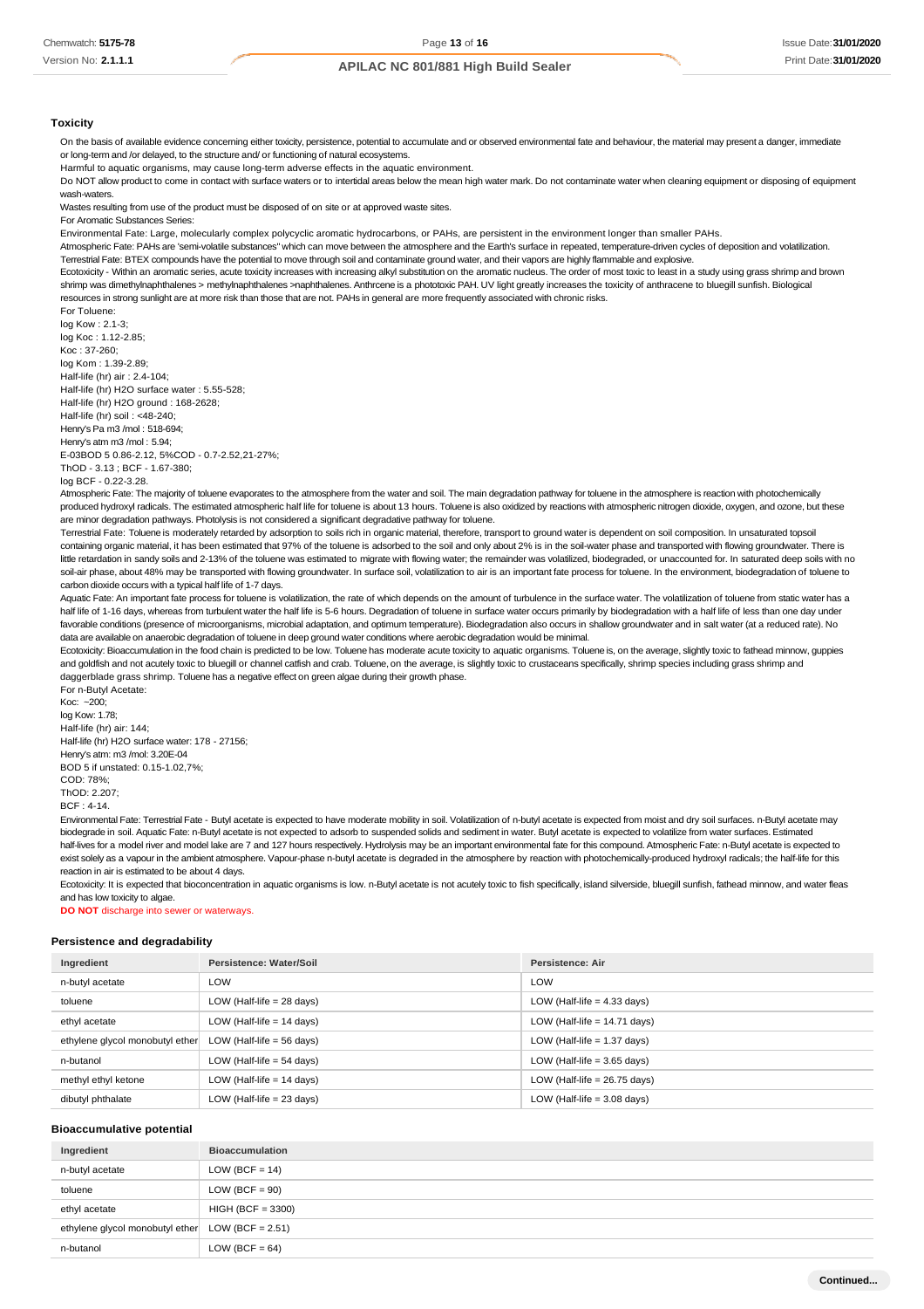#### **Toxicity**

On the basis of available evidence concerning either toxicity, persistence, potential to accumulate and or observed environmental fate and behaviour, the material may present a danger, immediate or long-term and /or delayed, to the structure and/ or functioning of natural ecosystems.

Harmful to aquatic organisms, may cause long-term adverse effects in the aquatic environment.

Do NOT allow product to come in contact with surface waters or to intertidal areas below the mean high water mark. Do not contaminate water when cleaning equipment or disposing of equipment wash-waters.

Wastes resulting from use of the product must be disposed of on site or at approved waste sites.

For Aromatic Substances Series:

Environmental Fate: Large, molecularly complex polycyclic aromatic hydrocarbons, or PAHs, are persistent in the environment longer than smaller PAHs.

Atmospheric Fate: PAHs are 'semi-volatile substances" which can move between the atmosphere and the Earth's surface in repeated, temperature-driven cycles of deposition and volatilization. Terrestrial Fate: BTEX compounds have the potential to move through soil and contaminate ground water, and their vapors are highly flammable and explosive.

Ecotoxicity - Within an aromatic series, acute toxicity increases with increasing alkyl substitution on the aromatic nucleus. The order of most toxic to least in a study using grass shrimp and brown

shrimp was dimethylnaphthalenes > methylnaphthalenes >naphthalenes. Anthrcene is a phototoxic PAH. UV light greatly increases the toxicity of anthracene to bluegill sunfish. Biological resources in strong sunlight are at more risk than those that are not. PAHs in general are more frequently associated with chronic risks. For Toluene:

log Kow : 2.1-3;

log Koc : 1.12-2.85; Koc : 37-260; log Kom : 1.39-2.89; Half-life (hr) air : 2.4-104; Half-life (hr) H2O surface water : 5.55-528; Half-life (hr) H2O ground : 168-2628; Half-life (hr) soil : <48-240; Henry's Pa m3 /mol : 518-694; Henry's atm m3 /mol : 5.94; E-03BOD 5 0.86-2.12, 5%COD - 0.7-2.52,21-27%; ThOD - 3.13 ; BCF - 1.67-380;

log BCF - 0.22-3.28.

Atmospheric Fate: The majority of toluene evaporates to the atmosphere from the water and soil. The main degradation pathway for toluene in the atmosphere is reaction with photochemically produced hydroxyl radicals. The estimated atmospheric half life for toluene is about 13 hours. Toluene is also oxidized by reactions with atmospheric nitrogen dioxide, oxygen, and ozone, but these are minor degradation pathways. Photolysis is not considered a significant degradative pathway for toluene.

Terrestrial Fate: Toluene is moderately retarded by adsorption to soils rich in organic material, therefore, transport to ground water is dependent on soil composition. In unsaturated topsoil containing organic material, it has been estimated that 97% of the toluene is adsorbed to the soil and only about 2% is in the soil-water phase and transported with flowing groundwater. There is little retardation in sandy soils and 2-13% of the toluene was estimated to migrate with flowing water; the remainder was volatilized, biodegraded, or unaccounted for. In saturated deep soils with no soil-air phase, about 48% may be transported with flowing groundwater. In surface soil, volatilization to air is an important fate process for toluene. In the environment, biodegradation of toluene to carbon dioxide occurs with a typical half life of 1-7 days.

Aquatic Fate: An important fate process for toluene is volatilization, the rate of which depends on the amount of turbulence in the surface water. The volatilization of toluene from static water has a half life of 1-16 days, whereas from turbulent water the half life is 5-6 hours. Degradation of toluene in surface water occurs primarily by biodegradation with a half life of less than one day under favorable conditions (presence of microorganisms, microbial adaptation, and optimum temperature). Biodegradation also occurs in shallow groundwater and in salt water (at a reduced rate). No data are available on anaerobic degradation of toluene in deep ground water conditions where aerobic degradation would be minimal.

Ecotoxicity: Bioaccumulation in the food chain is predicted to be low. Toluene has moderate acute toxicity to aquatic organisms. Toluene is, on the average, slightly toxic to fathead minnow, guppies and goldfish and not acutely toxic to bluegill or channel catfish and crab. Toluene, on the average, is slightly toxic to crustaceans specifically, shrimp species including grass shrimp and daggerblade grass shrimp. Toluene has a negative effect on green algae during their growth phase. For n-Butyl Acetate:

Koc: ~200; log Kow: 1.78; Half-life (hr) air: 144; Half-life (hr) H2O surface water: 178 - 27156; Henry's atm: m3 /mol: 3.20E-04 BOD 5 if unstated: 0.15-1.02,7%; COD: 78%;  $ThOP: 2.207$ BCF : 4-14.

Environmental Fate: Terrestrial Fate - Butyl acetate is expected to have moderate mobility in soil. Volatilization of n-butyl acetate is expected from moist and dry soil surfaces. n-Butyl acetate may biodegrade in soil. Aquatic Fate: n-Butyl acetate is not expected to adsorb to suspended solids and sediment in water. Butyl acetate is expected to volatilize from water surfaces. Estimated half-lives for a model river and model lake are 7 and 127 hours respectively. Hydrolysis may be an important environmental fate for this compound. Atmospheric Fate: n-Butyl acetate is expected to exist solely as a vapour in the ambient atmosphere. Vapour-phase n-butyl acetate is degraded in the atmosphere by reaction with photochemically-produced hydroxyl radicals; the half-life for this reaction in air is estimated to be about 4 days.

Ecotoxicity: It is expected that bioconcentration in aquatic organisms is low. n-Butyl acetate is not acutely toxic to fish specifically, island silverside, bluegill sunfish, fathead minnow, and water fleas and has low toxicity to algae.

**DO NOT** discharge into sewer or waterways.

#### **Persistence and degradability**

| Ingredient                      | Persistence: Water/Soil     | <b>Persistence: Air</b>        |
|---------------------------------|-----------------------------|--------------------------------|
| n-butyl acetate                 | LOW                         | LOW                            |
| toluene                         | LOW (Half-life $= 28$ days) | LOW (Half-life $=$ 4.33 days)  |
| ethyl acetate                   | LOW (Half-life $= 14$ days) | LOW (Half-life $= 14.71$ days) |
| ethylene glycol monobutyl ether | LOW (Half-life $= 56$ days) | LOW (Half-life $= 1.37$ days)  |
| n-butanol                       | LOW (Half-life $= 54$ days) | LOW (Half-life $=$ 3.65 days)  |
| methyl ethyl ketone             | LOW (Half-life $= 14$ days) | LOW (Half-life $= 26.75$ days) |
| dibutyl phthalate               | LOW (Half-life $= 23$ days) | LOW (Half-life $=$ 3.08 days)  |

#### **Bioaccumulative potential**

| Ingredient                                         | <b>Bioaccumulation</b> |
|----------------------------------------------------|------------------------|
| n-butyl acetate                                    | $LOW (BCF = 14)$       |
| toluene                                            | $LOW (BCF = 90)$       |
| ethyl acetate                                      | $HIGH (BCF = 3300)$    |
| ethylene glycol monobutyl ether $LOW (BCF = 2.51)$ |                        |
| n-butanol                                          | LOW (BCF = $64$ )      |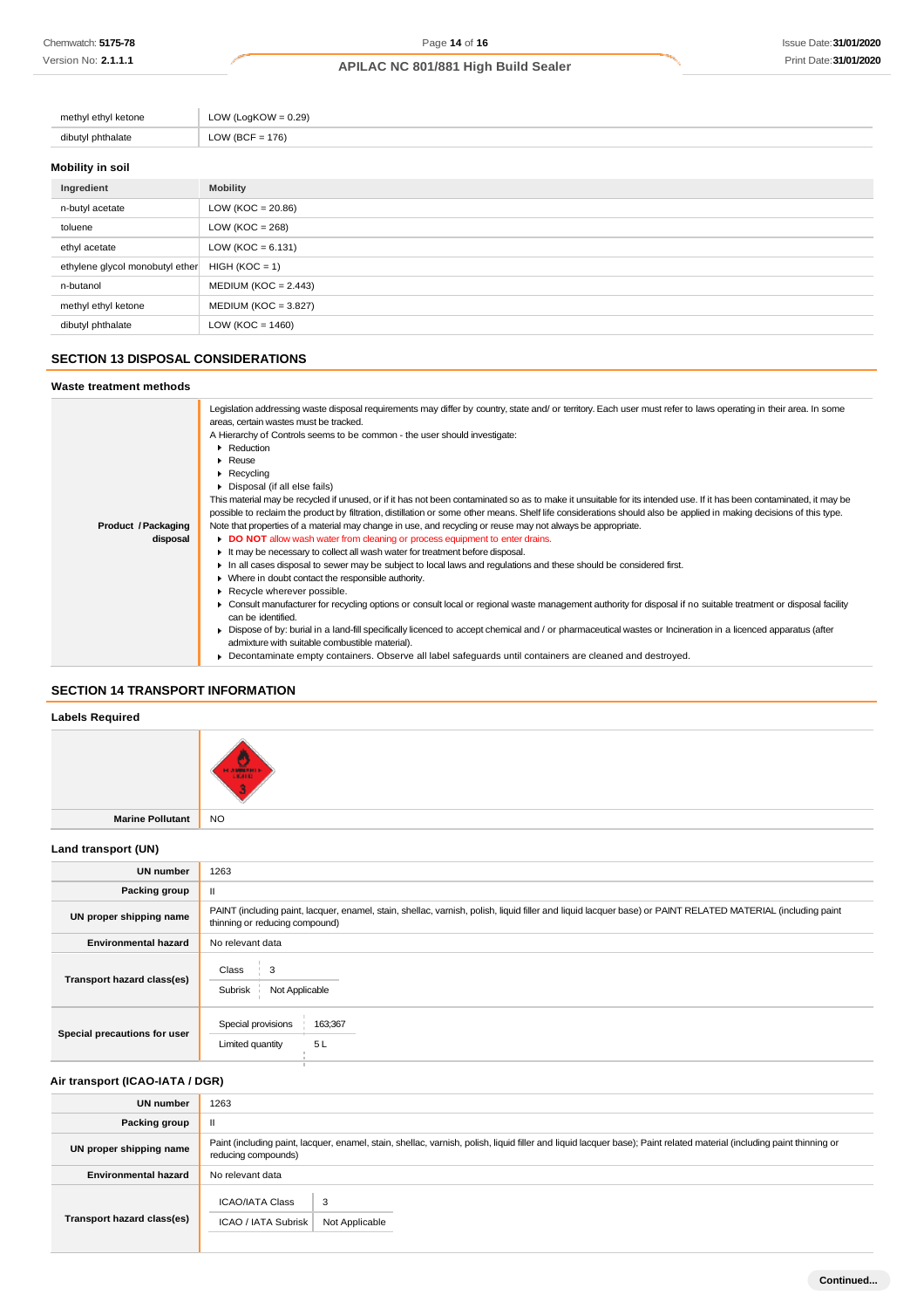| methyl ethyl ketone | LOW (LogKOW = $0.29$ ) |
|---------------------|------------------------|
| dibutyl phthalate   | LOW (BCF = $176$ )     |
|                     |                        |

# **Mobility in soil**

| Ingredient                      | <b>Mobility</b>        |
|---------------------------------|------------------------|
| n-butyl acetate                 | LOW ( $KOC = 20.86$ )  |
| toluene                         | LOW ( $KOC = 268$ )    |
| ethyl acetate                   | LOW ( $KOC = 6.131$ )  |
| ethylene glycol monobutyl ether | $HIGH (KOC = 1)$       |
| n-butanol                       | $MEDIUM (KOC = 2.443)$ |
| methyl ethyl ketone             | $MEDIUM (KOC = 3.827)$ |
| dibutyl phthalate               | LOW (KOC = $1460$ )    |

# **SECTION 13 DISPOSAL CONSIDERATIONS**

#### **Waste treatment methods**

| Legislation addressing waste disposal requirements may differ by country, state and/ or territory. Each user must refer to laws operating in their area. In some<br>areas, certain wastes must be tracked. |
|------------------------------------------------------------------------------------------------------------------------------------------------------------------------------------------------------------|
| A Hierarchy of Controls seems to be common - the user should investigate:                                                                                                                                  |
| Reduction                                                                                                                                                                                                  |
|                                                                                                                                                                                                            |
| $\blacktriangleright$ Reuse                                                                                                                                                                                |
| $\blacktriangleright$ Recycling                                                                                                                                                                            |
| Disposal (if all else fails)                                                                                                                                                                               |
| This material may be recycled if unused, or if it has not been contaminated so as to make it unsuitable for its intended use. If it has been contaminated, it may be                                       |
| possible to reclaim the product by filtration, distillation or some other means. Shelf life considerations should also be applied in making decisions of this type.                                        |
| Note that properties of a material may change in use, and recycling or reuse may not always be appropriate.                                                                                                |
| DO NOT allow wash water from cleaning or process equipment to enter drains.                                                                                                                                |
| It may be necessary to collect all wash water for treatment before disposal.                                                                                                                               |
| In all cases disposal to sewer may be subject to local laws and regulations and these should be considered first.                                                                                          |
|                                                                                                                                                                                                            |
| • Where in doubt contact the responsible authority.                                                                                                                                                        |
| Recycle wherever possible.                                                                                                                                                                                 |
| ► Consult manufacturer for recycling options or consult local or regional waste management authority for disposal if no suitable treatment or disposal facility                                            |
| can be identified.                                                                                                                                                                                         |
| ► Dispose of by: burial in a land-fill specifically licenced to accept chemical and / or pharmaceutical wastes or Incineration in a licenced apparatus (after                                              |
| admixture with suitable combustible material).                                                                                                                                                             |
| • Decontaminate empty containers. Observe all label safeguards until containers are cleaned and destroyed.                                                                                                 |
|                                                                                                                                                                                                            |

# **SECTION 14 TRANSPORT INFORMATION**

# **Labels Required**

| Lancis Incidiu cu   |                      |
|---------------------|----------------------|
|                     | l a<br><b>HANGEL</b> |
| Marine Pollutant NO |                      |

# **Land transport (UN)**

| <b>UN number</b>             | 1263                                                                                                                                                                                          |  |
|------------------------------|-----------------------------------------------------------------------------------------------------------------------------------------------------------------------------------------------|--|
| Packing group                | Ш                                                                                                                                                                                             |  |
| UN proper shipping name      | PAINT (including paint, lacquer, enamel, stain, shellac, varnish, polish, liquid filler and liquid lacquer base) or PAINT RELATED MATERIAL (including paint<br>thinning or reducing compound) |  |
| <b>Environmental hazard</b>  | No relevant data                                                                                                                                                                              |  |
| Transport hazard class(es)   | 3<br>Class<br>Subrisk<br>Not Applicable                                                                                                                                                       |  |
| Special precautions for user | Special provisions<br>163;367<br>5L<br>Limited quantity                                                                                                                                       |  |

# **Air transport (ICAO-IATA / DGR)**

| <b>UN number</b>            | 1263                                                                                                                                                                                         |  |
|-----------------------------|----------------------------------------------------------------------------------------------------------------------------------------------------------------------------------------------|--|
| Packing group               | $\mathbf{I}$                                                                                                                                                                                 |  |
| UN proper shipping name     | Paint (including paint, lacquer, enamel, stain, shellac, varnish, polish, liquid filler and liquid lacquer base); Paint related material (including paint thinning or<br>reducing compounds) |  |
| <b>Environmental hazard</b> | No relevant data                                                                                                                                                                             |  |
| Transport hazard class(es)  | <b>ICAO/IATA Class</b><br>3<br>ICAO / IATA Subrisk<br>Not Applicable                                                                                                                         |  |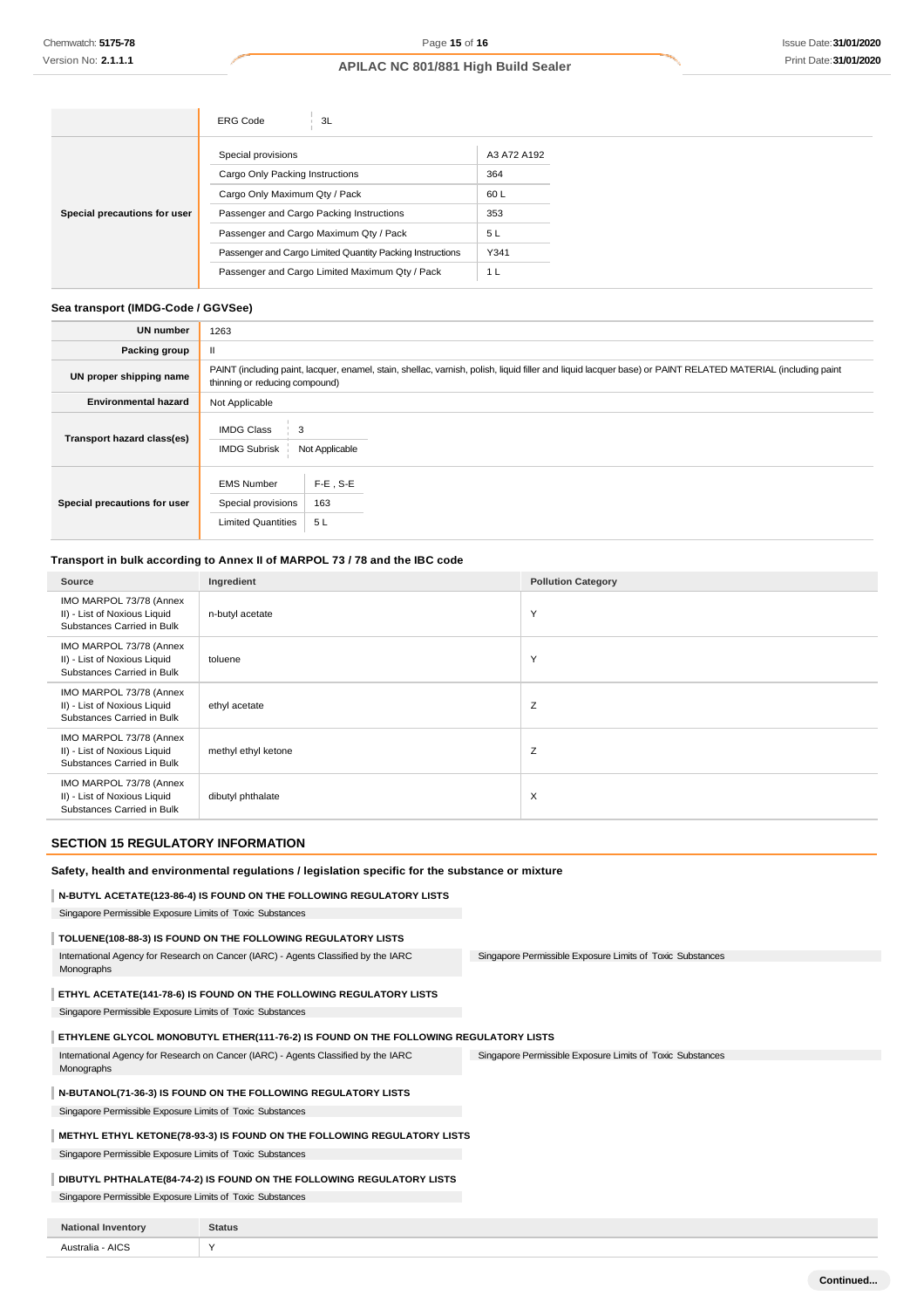|                              | <b>ERG Code</b><br>3L                                     |             |
|------------------------------|-----------------------------------------------------------|-------------|
|                              | Special provisions                                        | A3 A72 A192 |
| Special precautions for user | Cargo Only Packing Instructions                           | 364         |
|                              | Cargo Only Maximum Qty / Pack                             | 60 L        |
|                              | Passenger and Cargo Packing Instructions                  | 353         |
|                              | Passenger and Cargo Maximum Qty / Pack                    | 5L          |
|                              | Passenger and Cargo Limited Quantity Packing Instructions | Y341        |
|                              | Passenger and Cargo Limited Maximum Qty / Pack            | 1 L         |

#### **Sea transport (IMDG-Code / GGVSee)**

| <b>UN number</b>             | 1263                                                                                                                                                                                          |  |  |
|------------------------------|-----------------------------------------------------------------------------------------------------------------------------------------------------------------------------------------------|--|--|
| <b>Packing group</b>         |                                                                                                                                                                                               |  |  |
| UN proper shipping name      | PAINT (including paint, lacquer, enamel, stain, shellac, varnish, polish, liquid filler and liquid lacquer base) or PAINT RELATED MATERIAL (including paint<br>thinning or reducing compound) |  |  |
| <b>Environmental hazard</b>  | Not Applicable                                                                                                                                                                                |  |  |
| Transport hazard class(es)   | <b>IMDG Class</b><br><b>IMDG Subrisk</b><br>Not Applicable                                                                                                                                    |  |  |
| Special precautions for user | $F-E$ , S-E<br><b>EMS Number</b><br>163<br>Special provisions<br><b>Limited Quantities</b><br>5L                                                                                              |  |  |

# **Transport in bulk according to Annex II of MARPOL 73 / 78 and the IBC code**

| Source                                                                                | Ingredient          | <b>Pollution Category</b> |
|---------------------------------------------------------------------------------------|---------------------|---------------------------|
| IMO MARPOL 73/78 (Annex<br>II) - List of Noxious Liquid<br>Substances Carried in Bulk | n-butyl acetate     | Y                         |
| IMO MARPOL 73/78 (Annex<br>II) - List of Noxious Liquid<br>Substances Carried in Bulk | toluene             | Y                         |
| IMO MARPOL 73/78 (Annex<br>II) - List of Noxious Liquid<br>Substances Carried in Bulk | ethyl acetate       | Z                         |
| IMO MARPOL 73/78 (Annex<br>II) - List of Noxious Liquid<br>Substances Carried in Bulk | methyl ethyl ketone | Ζ                         |
| IMO MARPOL 73/78 (Annex<br>II) - List of Noxious Liquid<br>Substances Carried in Bulk | dibutyl phthalate   | $\times$                  |

# **SECTION 15 REGULATORY INFORMATION**

#### **Safety, health and environmental regulations / legislation specific for the substance or mixture**

### **N-BUTYL ACETATE(123-86-4) IS FOUND ON THE FOLLOWING REGULATORY LISTS**

Singapore Permissible Exposure Limits of Toxic Substances

#### **TOLUENE(108-88-3) IS FOUND ON THE FOLLOWING REGULATORY LISTS**

Singapore Permissible Exposure Limits of Toxic Substances International Agency for Research on Cancer (IARC) - Agents Classified by the IARC Monographs

### **ETHYL ACETATE(141-78-6) IS FOUND ON THE FOLLOWING REGULATORY LISTS**

Singapore Permissible Exposure Limits of Toxic Substances

#### **ETHYLENE GLYCOL MONOBUTYL ETHER(111-76-2) IS FOUND ON THE FOLLOWING REGULATORY LISTS**

Singapore Permissible Exposure Limits of Toxic Substances International Agency for Research on Cancer (IARC) - Agents Classified by the IARC Monographs

# **N-BUTANOL(71-36-3) IS FOUND ON THE FOLLOWING REGULATORY LISTS**

Singapore Permissible Exposure Limits of Toxic Substances

### **METHYL ETHYL KETONE(78-93-3) IS FOUND ON THE FOLLOWING REGULATORY LISTS**

Singapore Permissible Exposure Limits of Toxic Substances

#### **DIBUTYL PHTHALATE(84-74-2) IS FOUND ON THE FOLLOWING REGULATORY LISTS**

Singapore Permissible Exposure Limits of Toxic Substances

| <b>National Inventory</b> | <b>Status</b> |
|---------------------------|---------------|
| Australia - AICS          | $\lambda$     |